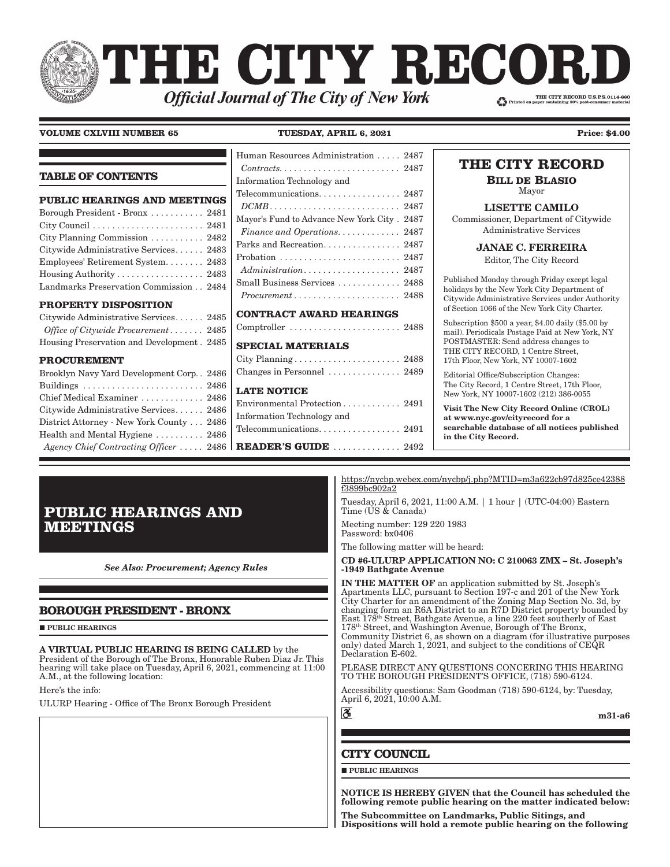# THE CITY RECOR. THE CITY RECORD U.S.P.S.0114-660 **Official Journal of The City of New York**

## **VOLUME CXLVIII NUMBER 65 TUESDAY, APRIL 6, 2021 Price: \$4.00**

**TABLE OF CONTENTS PUBLIC HEARINGS AND MEETINGS** Borough President - Bronx . . . . . . . . . . . 2481 City Council . . . . . . . . . . . . . . . . . . . . . . . 2481 [City Planning Commission . . . . . . . . . . . 2482](#page-1-0) [Citywide Administrative Services . . . . . . 2483](#page-2-0) [Employees' Retirement System . . . . . . . . 2483](#page-2-0) [Housing Authority . . . . . . . . . . . . . . . . . . 2483](#page-2-0) [Landmarks Preservation Commission . . 2484](#page-3-0) **[PROPERTY DISPOSITION](#page-4-0)** [Citywide Administrative Services . . . . . . 2485](#page-4-0) *[Office of Citywide Procurement](#page-4-0) � � � � � � �* 2485 [Housing Preservation and Development . 2485](#page-4-0) **[PROCUREMENT](#page-4-0)** [Brooklyn Navy Yard Development Corp. . 2486](#page-5-0) [Buildings . . . . . . . . . . . . . . . . . . . . . . . . . 2486](#page-5-0) [Chief Medical Examiner . . . . . . . . . . . . . 2486](#page-5-0) [Citywide Administrative Services . . . . . . 2486](#page-5-0) [District Attorney - New York County . . . 2486](#page-5-0) [Health and Mental Hygiene . . . . . . . . . . 2486](#page-5-0) *[Agency Chief Contracting Officer](#page-5-0)*  $\dots$  2486 [Human Resources Administration . . . . . 2487](#page-6-0)  $Contracts. \ldots \ldots \ldots \ldots \ldots \ldots \ldots 2487$  $Contracts. \ldots \ldots \ldots \ldots \ldots \ldots \ldots 2487$ [Information Technology and](#page-6-0)  [Telecommunications. . . . . . . . . . . . . . . . . 2487](#page-6-0) *[DCMB](#page-6-0) � � � � � � � � � � � � � � � � � � � � � � � � � � �* 2487 [Mayor's Fund to Advance New York City . 2487](#page-6-0) *[Finance and Operations�](#page-6-0) � � � � � � � � � � � �* 2487 Parks and Recreation. . . . . . . . . . . . . . 2487 [Probation . . . . . . . . . . . . . . . . . . . . . . . . . 2487](#page-6-0) *[Administration�](#page-6-0) � � � � � � � � � � � � � � � � � � �* 2487 [Small Business Services . . . . . . . . . . . . . 2488](#page-7-0) *[Procurement](#page-7-0) � � � � � � � � � � � � � � � � � � � � � �* 2488 **[CONTRACT AWARD HEARINGS](#page-7-0)** [Comptroller . . . . . . . . . . . . . . . . . . . . . . . 2488](#page-7-0) **[SPECIAL MATERIALS](#page-7-0)** [City Planning . . . . . . . . . . . . . . . . . . . . . . 2488](#page-7-0) [Changes in Personnel . . . . . . . . . . . . . . . 2489](#page-8-0) **[LATE NOTICE](#page-10-0)** [Environmental Protection . . . . . . . . . . . . 2491](#page-10-0) [Information Technology and](#page-10-0)  [Telecommunications. . . . . . . . . . . . . . . . . 2491](#page-10-0) **READER'S GUIDE** . . . . . . . . . . . . 2492 **THE CITY RECORD BILL DE BLASIO** Mayor LISETTE CAMILO Commissioner, Department of Citywide Administrative Services JANAE C. FERREIRA Editor, The City Record Published Monday through Friday except legal holidays by the New York City Department of Citywide Administrative Services under Authority of Section 1066 of the New York City Charter. Subscription \$500 a year, \$4.00 daily (\$5.00 by mail). Periodicals Postage Paid at New York, NY POSTMASTER: Send address changes to THE CITY RECORD, 1 Centre Street, 17th Floor, New York, NY 10007-1602 Editorial Office/Subscription Changes: The City Record, 1 Centre Street, 17th Floor, New York, NY 10007-1602 (212) 386-0055 Visit The New City Record Online (CROL) at www.nyc.gov/cityrecord for a searchable database of all notices published in the City Record.

# **PUBLIC HEARINGS AND MEETINGS**

*See Also: Procurement; Agency Rules*

# **BOROUGH PRESIDENT - BRONX**

**PUBLIC HEARINGS** 

A VIRTUAL PUBLIC HEARING IS BEING CALLED by the President of the Borough of The Bronx, Honorable Ruben Diaz Jr. This hearing will take place on Tuesday, April 6, 2021, commencing at 11:00 A.M., at the following location:

Here's the info:

ULURP Hearing - Office of The Bronx Borough President

[https://nycbp.webex.com/nycbp/j.php?MTID=m3a622cb97d825ce42388](https://nycbp.webex.com/nycbp/j.php?MTID=m3a622cb97d825ce42388f3899bc902a2) [f3899bc902a2](https://nycbp.webex.com/nycbp/j.php?MTID=m3a622cb97d825ce42388f3899bc902a2)

Tuesday, April 6, 2021, 11:00 A.M. | 1 hour | (UTC-04:00) Eastern Time (US & Canada)

Meeting number: 129 220 1983 Password: bx0406

The following matter will be heard:

## CD #6-ULURP APPLICATION NO: C 210063 ZMX – St. Joseph's -1949 Bathgate Avenue

IN THE MATTER OF an application submitted by St. Joseph's Apartments LLC, pursuant to Section 197-c and 201 of the New York City Charter for an amendment of the Zoning Map Section No. 3d, by changing form an R6A District to an R7D District property bounded by East 178th Street, Bathgate Avenue, a line 220 feet southerly of East 178th Street, and Washington Avenue, Borough of The Bronx, Community District 6, as shown on a diagram (for illustrative purposes only) dated March 1, 2021, and subject to the conditions of CEQR Declaration E-602.

PLEASE DIRECT ANY QUESTIONS CONCERING THIS HEARING TO THE BOROUGH PRESIDENT'S OFFICE, (718) 590-6124.

Accessibility questions: Sam Goodman (718) 590-6124, by: Tuesday, April 6, 2021, 10:00 A.M.  $\mathfrak{F}$ 

m31-a6

# **CITY COUNCIL**

 $\blacksquare$ PUBLIC HEARINGS

NOTICE IS HEREBY GIVEN that the Council has scheduled the following remote public hearing on the matter indicated below:

The Subcommittee on Landmarks, Public Sitings, and Dispositions will hold a remote public hearing on the following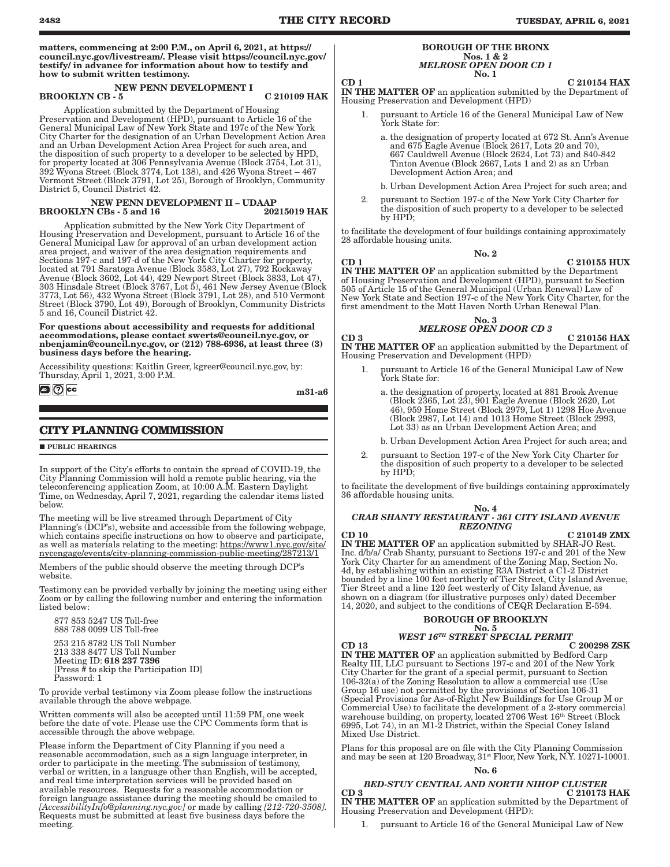<span id="page-1-0"></span>matters, commencing at 2:00 P.M., on April 6, 2021, at [https://](https://council.nyc.gov/livestream/) [council.nyc.gov/livestream/.](https://council.nyc.gov/livestream/) Please visit [https://council.nyc.gov/](https://council.nyc.gov/testify/) [testify/](https://council.nyc.gov/testify/) in advance for information about how to testify and how to submit written testimony.

#### NEW PENN DEVELOPMENT I BROOKLYN CB - 5 C 210109 HAK

Application submitted by the Department of Housing Preservation and Development (HPD), pursuant to Article 16 of the General Municipal Law of New York State and 197c of the New York City Charter for the designation of an Urban Development Action Area and an Urban Development Action Area Project for such area, and the disposition of such property to a developer to be selected by HPD, for property located at 306 Pennsylvania Avenue (Block 3754, Lot 31), 392 Wyona Street (Block 3774, Lot 138), and 426 Wyona Street – 467 Vermont Street (Block 3791, Lot 25), Borough of Brooklyn, Community District 5, Council District 42.

## NEW PENN DEVELOPMENT II - UDAAP<br>N CBs - 5 and 16 20215019 HAK BROOKLYN CBs - 5 and 16

Application submitted by the New York City Department of Housing Preservation and Development, pursuant to Article 16 of the General Municipal Law for approval of an urban development action area project, and waiver of the area designation requirements and Sections 197-c and 197-d of the New York City Charter for property, located at 791 Saratoga Avenue (Block 3583, Lot 27), 792 Rockaway Avenue (Block 3602, Lot 44), 429 Newport Street (Block 3833, Lot 47), 303 Hinsdale Street (Block 3767, Lot 5), 461 New Jersey Avenue (Block 3773, Lot 56), 432 Wyona Street (Block 3791, Lot 28), and 510 Vermont Street (Block 3790, Lot 49), Borough of Brooklyn, Community Districts 5 and 16, Council District 42.

For questions about accessibility and requests for additional accommodations, please contact [swerts@council.nyc.gov,](mailto:swerts@council.nyc.gov) or [nbenjamin@council.nyc.gov](mailto:nbenjamin@council.nyc.gov), or (212) 788-6936, at least three (3) business days before the hearing.

Accessibility questions: Kaitlin Greer, kgreer@council.nyc.gov, by: Thursday, April 1, 2021, 3:00 P.M.

**DI** ⑦ cc

m31-a6

# **CITY PLANNING COMMISSION**

**PUBLIC HEARINGS** 

In support of the City's efforts to contain the spread of COVID-19, the City Planning Commission will hold a remote public hearing, via the teleconferencing application Zoom, at 10:00 A.M. Eastern Daylight Time, on Wednesday, April 7, 2021, regarding the calendar items listed below.

The meeting will be live streamed through Department of City Planning's (DCP's), website and accessible from the following webpage, which contains specific instructions on how to observe and participate, as well as materials relating to the meeting: https://www1.nyc.gov/site/ nycengage/events/city-planning-commission-public-meeting/287213/1

Members of the public should observe the meeting through DCP's website.

Testimony can be provided verbally by joining the meeting using either Zoom or by calling the following number and entering the information listed below:

877 853 5247 US Toll-free 888 788 0099 US Toll-free 253 215 8782 US Toll Number

 213 338 8477 US Toll Number Meeting ID: 618 237 7396 [Press # to skip the Participation ID] Password: 1

To provide verbal testimony via Zoom please follow the instructions available through the above webpage.

Written comments will also be accepted until 11:59 PM, one week before the date of vote. Please use the CPC Comments form that is accessible through the above webpage.

Please inform the Department of City Planning if you need a reasonable accommodation, such as a sign language interpreter, in order to participate in the meeting. The submission of testimony, verbal or written, in a language other than English, will be accepted, and real time interpretation services will be provided based on available resources. Requests for a reasonable accommodation or foreign language assistance during the meeting should be emailed to *[AccessibilityInfo@planning.nyc.gov]* or made by calling *[212-720-3508].* Requests must be submitted at least five business days before the meeting.

#### BOROUGH OF THE BRONX Nos. 1 & 2 *MELROSE OPEN DOOR CD 1* No. 1

## $CD 1$  C  $210154$  HAX

IN THE MATTER OF an application submitted by the Department of Housing Preservation and Development (HPD)

- pursuant to Article 16 of the General Municipal Law of New York State for:
	- a. the designation of property located at 672 St. Ann's Avenue and 675 Eagle Avenue (Block 2617, Lots 20 and 70), 667 Cauldwell Avenue (Block 2624, Lot 73) and 840-842 Tinton Avenue (Block 2667, Lots 1 and 2) as an Urban Development Action Area; and
	- b. Urban Development Action Area Project for such area; and
- 2. pursuant to Section 197-c of the New York City Charter for the disposition of such property to a developer to be selected by HPD;

to facilitate the development of four buildings containing approximately 28 affordable housing units.

#### No. 2

 $CD$  1 C 210155 HUX

IN THE MATTER OF an application submitted by the Department of Housing Preservation and Development (HPD), pursuant to Section 505 of Article 15 of the General Municipal (Urban Renewal) Law of New York State and Section 197-c of the New York City Charter, for the first amendment to the Mott Haven North Urban Renewal Plan.

## No. 3

# *MELROSE OPEN DOOR CD 3*

 $CD$  3  $C$  210156 HAX IN THE MATTER OF an application submitted by the Department of Housing Preservation and Development (HPD)

- 1. pursuant to Article 16 of the General Municipal Law of New York State for:
	- a. the designation of property, located at 881 Brook Avenue (Block 2365, Lot 23), 901 Eagle Avenue (Block 2620, Lot 46), 959 Home Street (Block 2979, Lot 1) 1298 Hoe Avenue (Block 2987, Lot 14) and 1013 Home Street (Block 2993, Lot 33) as an Urban Development Action Area; and
	- b. Urban Development Action Area Project for such area; and
- 2. pursuant to Section 197-c of the New York City Charter for the disposition of such property to a developer to be selected by HPD;

to facilitate the development of five buildings containing approximately 36 affordable housing units.

#### No. 4

## *CRAB SHANTY RESTAURANT - 361 CITY ISLAND AVENUE REZONING*

 $CD 10$   $C 210149 ZMX$ IN THE MATTER OF an application submitted by SHAR-JO Rest. Inc. d/b/a/ Crab Shanty, pursuant to Sections 197-c and 201 of the New York City Charter for an amendment of the Zoning Map, Section No. 4d, by establishing within an existing R3A District a C1-2 District bounded by a line 100 feet northerly of Tier Street, City Island Avenue, Tier Street and a line 120 feet westerly of City Island Avenue, as shown on a diagram (for illustrative purposes only) dated December 14, 2020, and subject to the conditions of CEQR Declaration E-594.

# BOROUGH OF BROOKLYN

# No. 5

## *WEST 16TH STREET SPECIAL PERMIT*

 $CD$  13 C 200298 ZSK IN THE MATTER OF an application submitted by Bedford Carp Realty III, LLC pursuant to Sections 197-c and 201 of the New York City Charter for the grant of a special permit, pursuant to Section 106-32(a) of the Zoning Resolution to allow a commercial use (Use Group 16 use) not permitted by the provisions of Section 106-31 (Special Provisions for As-of-Right New Buildings for Use Group M or Commercial Use) to facilitate the development of a 2-story commercial warehouse building, on property, located 2706 West 16<sup>th</sup> Street (Block 6995, Lot 74), in an M1-2 District, within the Special Coney Island Mixed Use District.

Plans for this proposal are on file with the City Planning Commission and may be seen at 120 Broadway, 31st Floor, New York, N.Y. 10271-10001.

#### No. 6

# *BED-STUY CENTRAL AND NORTH NIHOP CLUSTER*

 $CD$  3 C 210173 HAK IN THE MATTER OF an application submitted by the Department of Housing Preservation and Development (HPD):

pursuant to Article 16 of the General Municipal Law of New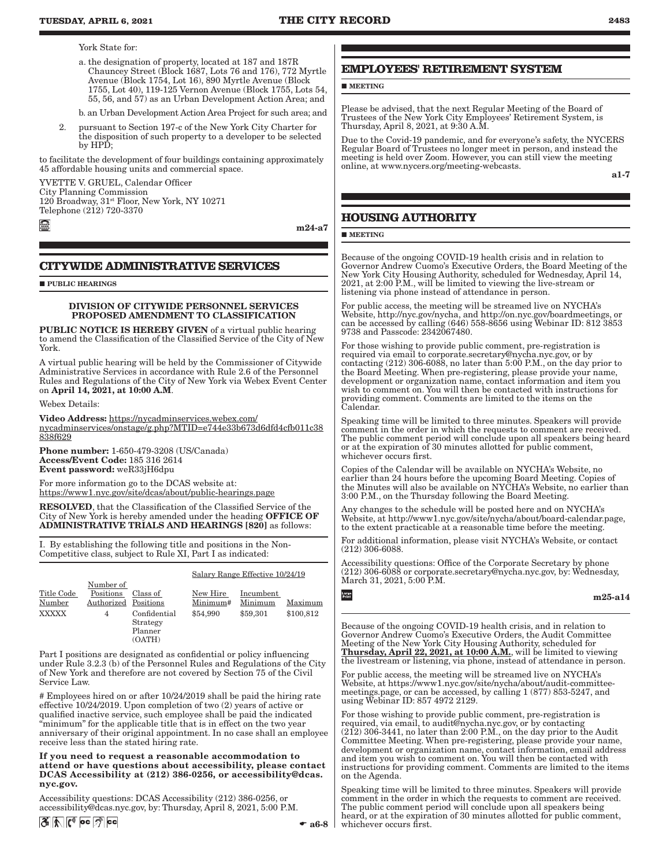<span id="page-2-0"></span>York State for:

a. the designation of property, located at 187 and 187R Chauncey Street (Block 1687, Lots 76 and 176), 772 Myrtle Avenue (Block 1754, Lot 16), 890 Myrtle Avenue (Block 1755, Lot 40), 119-125 Vernon Avenue (Block 1755, Lots 54, 55, 56, and 57) as an Urban Development Action Area; and

b. an Urban Development Action Area Project for such area; and

2. pursuant to Section 197-c of the New York City Charter for the disposition of such property to a developer to be selected by HPD;

to facilitate the development of four buildings containing approximately 45 affordable housing units and commercial space.

YVETTE V. GRUEL, Calendar Officer City Planning Commission 120 Broadway, 31st Floor, New York, NY 10271 Telephone (212) 720-3370

m24-a7

## **CITYWIDE ADMINISTRATIVE SERVICES**

**PUBLIC HEARINGS** 

#### DIVISION OF CITYWIDE PERSONNEL SERVICES PROPOSED AMENDMENT TO CLASSIFICATION

PUBLIC NOTICE IS HEREBY GIVEN of a virtual public hearing to amend the Classification of the Classified Service of the City of New York.

A virtual public hearing will be held by the Commissioner of Citywide Administrative Services in accordance with Rule 2.6 of the Personnel Rules and Regulations of the City of New York via Webex Event Center on April 14, 2021, at 10:00 A.M.

Webex Details:

Video Address: [https://nycadminservices.webex.com/](https://nycadminservices.webex.com/nycadminservices/onstage/g.php?MTID=e744e33b673d6dfd4cfb011c38838f629) [nycadminservices/onstage/g.php?MTID=e744e33b673d6dfd4cfb011c38](https://nycadminservices.webex.com/nycadminservices/onstage/g.php?MTID=e744e33b673d6dfd4cfb011c38838f629) [838f629](https://nycadminservices.webex.com/nycadminservices/onstage/g.php?MTID=e744e33b673d6dfd4cfb011c38838f629)

Phone number: 1-650-479-3208 (US/Canada) Access/Event Code: 185 316 2614 Event password: weR33jH6dpu

For more information go to the DCAS website at: <https://www1.nyc.gov/site/dcas/about/public-hearings.page>

RESOLVED, that the Classification of the Classified Service of the City of New York is hereby amended under the heading OFFICE OF ADMINISTRATIVE TRIALS AND HEARINGS [820] as follows:

I. By establishing the following title and positions in the Non-Competitive class, subject to Rule XI, Part I as indicated:

#### Salary Range Effective 10/24/19

|              | Number of            |                                               |          |           |           |
|--------------|----------------------|-----------------------------------------------|----------|-----------|-----------|
| Title Code   | Positions            | Class of                                      | New Hire | Incumbent |           |
| Number       | Authorized Positions |                                               | Minimum# | Minimum   | Maximum   |
| <b>XXXXX</b> | 4                    | Confidential<br>Strategy<br>Planner<br>(OATH) | \$54,990 | \$59,301  | \$100.812 |

Part I positions are designated as confidential or policy influencing under Rule 3.2.3 (b) of the Personnel Rules and Regulations of the City of New York and therefore are not covered by Section 75 of the Civil Service Law.

# Employees hired on or after 10/24/2019 shall be paid the hiring rate effective 10/24/2019. Upon completion of two (2) years of active or qualified inactive service, such employee shall be paid the indicated "minimum" for the applicable title that is in effect on the two year anniversary of their original appointment. In no case shall an employee receive less than the stated hiring rate.

If you need to request a reasonable accommodation to attend or have questions about accessibility, please contact DCAS Accessibility at (212) 386-0256, or [accessibility@dcas.](mailto:accessibility@dcas.nyc.gov) [nyc.gov.](mailto:accessibility@dcas.nyc.gov)

Accessibility questions: DCAS Accessibility (212) 386-0256, or accessibility@dcas.nyc.gov, by: Thursday, April 8, 2021, 5:00 P.M. Large<br>Print

# **EMPLOYEES' RETIREMENT SYSTEM**

**MEETING** 

Please be advised, that the next Regular Meeting of the Board of Trustees of the New York City Employees' Retirement System, is Thursday, April 8, 2021, at 9:30 A.M.

Due to the Covid-19 pandemic, and for everyone's safety, the NYCERS Regular Board of Trustees no longer meet in person, and instead the meeting is held over Zoom. However, you can still view the meeting online, at www.nycers.org/meeting-webcasts.

a1-7

# **HOUSING AUTHORITY**

## **MEETING**

Because of the ongoing COVID-19 health crisis and in relation to Governor Andrew Cuomo's Executive Orders, the Board Meeting of the New York City Housing Authority, scheduled for Wednesday, April 14, 2021, at 2:00 P.M., will be limited to viewing the live-stream or listening via phone instead of attendance in person.

For public access, the meeting will be streamed live on NYCHA's Website, http://nyc.gov/nycha, and http://on.nyc.gov/boardmeetings, or can be accessed by calling (646) 558-8656 using Webinar ID: 812 3853 9738 and Passcode: 2342067480.

For those wishing to provide public comment, pre-registration is required via email to corporate.secretary@nycha.nyc.gov, or by contacting (212) 306-6088, no later than 5:00 P.M., on the day prior to the Board Meeting. When pre-registering, please provide your name, development or organization name, contact information and item you wish to comment on. You will then be contacted with instructions for providing comment. Comments are limited to the items on the Calendar.

Speaking time will be limited to three minutes. Speakers will provide comment in the order in which the requests to comment are received. The public comment period will conclude upon all speakers being heard or at the expiration of 30 minutes allotted for public comment, whichever occurs first.

Copies of the Calendar will be available on NYCHA's Website, no earlier than 24 hours before the upcoming Board Meeting. Copies of the Minutes will also be available on NYCHA's Website, no earlier than 3:00 P.M., on the Thursday following the Board Meeting.

Any changes to the schedule will be posted here and on NYCHA's Website, at http://www1.nyc.gov/site/nycha/about/board-calendar.page, to the extent practicable at a reasonable time before the meeting.

For additional information, please visit NYCHA's Website, or contact (212) 306-6088.

Accessibility questions: Office of the Corporate Secretary by phone (212) 306-6088 or corporate.secretary@nycha.nyc.gov, by: Wednesday, March 31, 2021, 5:00 P.M.

m25-a14

Because of the ongoing COVID-19 health crisis, and in relation to Governor Andrew Cuomo's Executive Orders, the Audit Committee Meeting of the New York City Housing Authority, scheduled for<br>**Thursday, April 22, 2021, at 10:00 A.M.**, will be limited to viewing the livestream or listening, via phone, instead of attendance in person.

For public access, the meeting will be streamed live on NYCHA's Website, at https://www1.nyc.gov/site/nycha/about/audit-committeemeetings.page, or can be accessed, by calling 1 (877) 853-5247, and using Webinar ID: 857 4972 2129.

For those wishing to provide public comment, pre-registration is required, via email, to audit@nycha.nyc.gov, or by contacting (212) 306-3441, no later than 2:00 P.M., on the day prior to the Audit Committee Meeting. When pre-registering, please provide your name, development or organization name, contact information, email address and item you wish to comment on. You will then be contacted with instructions for providing comment. Comments are limited to the items on the Agenda.

Speaking time will be limited to three minutes. Speakers will provide comment in the order in which the requests to comment are received. The public comment period will conclude upon all speakers being heard, or at the expiration of 30 minutes allotted for public comment, whichever occurs first.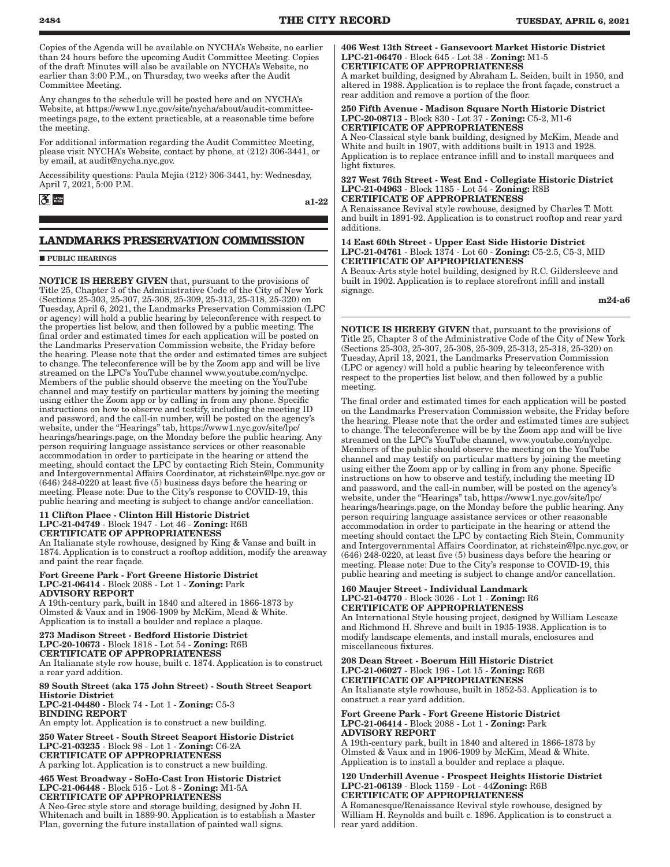<span id="page-3-0"></span>Copies of the Agenda will be available on NYCHA's Website, no earlier than 24 hours before the upcoming Audit Committee Meeting. Copies of the draft Minutes will also be available on NYCHA's Website, no earlier than 3:00 P.M., on Thursday, two weeks after the Audit Committee Meeting.

Any changes to the schedule will be posted here and on NYCHA's Website, at https://www1.nyc.gov/site/nycha/about/audit-committeemeetings.page, to the extent practicable, at a reasonable time before the meeting.

For additional information regarding the Audit Committee Meeting, please visit NYCHA's Website, contact by phone, at (212) 306-3441, or by email, at audit@nycha.nyc.gov.

Accessibility questions: Paula Mejia (212) 306-3441, by: Wednesday, April 7, 2021, 5:00 P.M.

**3** Large

a1-22

# **LANDMARKS PRESERVATION COMMISSION**

#### **PUBLIC HEARINGS**

NOTICE IS HEREBY GIVEN that, pursuant to the provisions of Title 25, Chapter 3 of the Administrative Code of the City of New York (Sections 25-303, 25-307, 25-308, 25-309, 25-313, 25-318, 25-320) on Tuesday, April 6, 2021, the Landmarks Preservation Commission (LPC or agency) will hold a public hearing by teleconference with respect to the properties list below, and then followed by a public meeting. The final order and estimated times for each application will be posted on the Landmarks Preservation Commission website, the Friday before the hearing. Please note that the order and estimated times are subject to change. The teleconference will be by the Zoom app and will be live streamed on the LPC's YouTube channel www.youtube.com/nyclpc. Members of the public should observe the meeting on the YouTube channel and may testify on particular matters by joining the meeting using either the Zoom app or by calling in from any phone. Specific instructions on how to observe and testify, including the meeting ID and password, and the call-in number, will be posted on the agency's website, under the "Hearings" tab, https://www1.nyc.gov/site/lpc/ hearings/hearings.page, on the Monday before the public hearing. Any person requiring language assistance services or other reasonable accommodation in order to participate in the hearing or attend the meeting, should contact the LPC by contacting Rich Stein, Community and Intergovernmental Affairs Coordinator, at richstein@lpc.nyc.gov or (646) 248-0220 at least five (5) business days before the hearing or meeting. Please note: Due to the City's response to COVID-19, this public hearing and meeting is subject to change and/or cancellation.

#### 11 Clifton Place - Clinton Hill Historic District LPC-21-04749 - Block 1947 - Lot 46 - Zoning: R6B CERTIFICATE OF APPROPRIATENESS

An Italianate style rowhouse, designed by King & Vanse and built in 1874. Application is to construct a rooftop addition, modify the areaway and paint the rear façade.

#### Fort Greene Park - Fort Greene Historic District LPC-21-06414 - Block 2088 - Lot 1 - Zoning: Park ADVISORY REPORT

A 19th-century park, built in 1840 and altered in 1866-1873 by Olmsted & Vaux and in 1906-1909 by McKim, Mead & White. Application is to install a boulder and replace a plaque.

#### 273 Madison Street - Bedford Historic District LPC-20-10673 - Block 1818 - Lot 54 - Zoning: R6B CERTIFICATE OF APPROPRIATENESS

An Italianate style row house, built c. 1874. Application is to construct a rear yard addition.

89 South Street (aka 175 John Street) - South Street Seaport Historic District LPC-21-04480 - Block 74 - Lot 1 - Zoning: C5-3 BINDING REPORT An empty lot. Application is to construct a new building.

250 Water Street - South Street Seaport Historic District LPC-21-03235 - Block 98 - Lot 1 - Zoning: C6-2A CERTIFICATE OF APPROPRIATENESS A parking lot. Application is to construct a new building.

465 West Broadway - SoHo-Cast Iron Historic District LPC-21-06448 - Block 515 - Lot 8 - Zoning: M1-5A CERTIFICATE OF APPROPRIATENESS

A Neo-Grec style store and storage building, designed by John H. Whitenach and built in 1889-90. Application is to establish a Master Plan, governing the future installation of painted wall signs.

#### 406 West 13th Street - Gansevoort Market Historic District LPC-21-06470 - Block 645 - Lot 38 - Zoning: M1-5 CERTIFICATE OF APPROPRIATENESS

A market building, designed by Abraham L. Seiden, built in 1950, and altered in 1988. Application is to replace the front façade, construct a rear addition and remove a portion of the floor.

#### 250 Fifth Avenue - Madison Square North Historic District LPC-20-08713 - Block 830 - Lot 37 - Zoning: C5-2, M1-6 CERTIFICATE OF APPROPRIATENESS

A Neo-Classical style bank building, designed by McKim, Meade and White and built in 1907, with additions built in 1913 and 1928. Application is to replace entrance infill and to install marquees and light fixtures.

327 West 76th Street - West End - Collegiate Historic District LPC-21-04963 - Block 1185 - Lot 54 - Zoning: R8B CERTIFICATE OF APPROPRIATENESS

A Renaissance Revival style rowhouse, designed by Charles T. Mott and built in 1891-92. Application is to construct rooftop and rear yard additions.

14 East 60th Street - Upper East Side Historic District LPC-21-04761 - Block 1374 - Lot 60 - Zoning: C5-2.5, C5-3, MID CERTIFICATE OF APPROPRIATENESS

A Beaux-Arts style hotel building, designed by R.C. Gildersleeve and built in 1902. Application is to replace storefront infill and install signage.

m24-a6

NOTICE IS HEREBY GIVEN that, pursuant to the provisions of Title 25, Chapter 3 of the Administrative Code of the City of New York (Sections 25-303, 25-307, 25-308, 25-309, 25-313, 25-318, 25-320) on Tuesday, April 13, 2021, the Landmarks Preservation Commission (LPC or agency) will hold a public hearing by teleconference with respect to the properties list below, and then followed by a public meeting.

The final order and estimated times for each application will be posted on the Landmarks Preservation Commission website, the Friday before the hearing. Please note that the order and estimated times are subject to change. The teleconference will be by the Zoom app and will be live streamed on the LPC's YouTube channel, www.youtube.com/nyclpc. Members of the public should observe the meeting on the YouTube channel and may testify on particular matters by joining the meeting using either the Zoom app or by calling in from any phone. Specific instructions on how to observe and testify, including the meeting ID and password, and the call-in number, will be posted on the agency's website, under the "Hearings" tab, https://www1.nyc.gov/site/lpc/ hearings/hearings.page, on the Monday before the public hearing. Any person requiring language assistance services or other reasonable accommodation in order to participate in the hearing or attend the meeting should contact the LPC by contacting Rich Stein, Community and Intergovernmental Affairs Coordinator, at richstein@lpc.nyc.gov, or (646) 248-0220, at least five (5) business days before the hearing or meeting. Please note: Due to the City's response to COVID-19, this public hearing and meeting is subject to change and/or cancellation.

### 160 Maujer Street - Individual Landmark LPC-21-04770 - Block 3026 - Lot 1 - Zoning: R6 CERTIFICATE OF APPROPRIATENESS

An International Style housing project, designed by William Lescaze and Richmond H. Shreve and built in 1935-1938. Application is to modify landscape elements, and install murals, enclosures and miscellaneous fixtures.

#### 208 Dean Street - Boerum Hill Historic District LPC-21-06027 - Block 196 - Lot 15 - Zoning: R6B CERTIFICATE OF APPROPRIATENESS

An Italianate style rowhouse, built in 1852-53. Application is to construct a rear yard addition.

Fort Greene Park - Fort Greene Historic District LPC-21-06414 - Block 2088 - Lot 1 - Zoning: Park ADVISORY REPORT

A 19th-century park, built in 1840 and altered in 1866-1873 by Olmsted & Vaux and in 1906-1909 by McKim, Mead & White. Application is to install a boulder and replace a plaque.

#### 120 Underhill Avenue - Prospect Heights Historic District LPC-21-06139 - Block 1159 - Lot - 44Zoning: R6B CERTIFICATE OF APPROPRIATENESS

A Romanesque/Renaissance Revival style rowhouse, designed by William H. Reynolds and built c. 1896. Application is to construct a rear yard addition.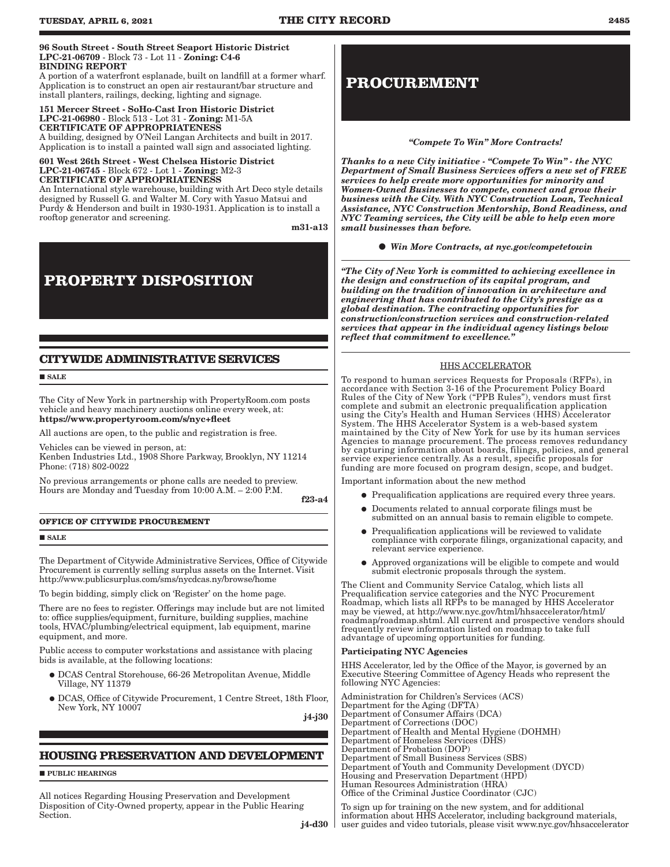#### <span id="page-4-0"></span>96 South Street - South Street Seaport Historic District LPC-21-06709 - Block 73 - Lot 11 - Zoning: C4-6 BINDING REPORT

A portion of a waterfront esplanade, built on landfill at a former wharf. Application is to construct an open air restaurant/bar structure and install planters, railings, decking, lighting and signage.

#### 151 Mercer Street - SoHo-Cast Iron Historic District LPC-21-06980 - Block 513 - Lot 31 - Zoning: M1-5A CERTIFICATE OF APPROPRIATENESS

A building, designed by O'Neil Langan Architects and built in 2017. Application is to install a painted wall sign and associated lighting.

#### 601 West 26th Street - West Chelsea Historic District LPC-21-06745 - Block 672 - Lot 1 - Zoning: M2-3 CERTIFICATE OF APPROPRIATENESS

An International style warehouse, building with Art Deco style details designed by Russell G. and Walter M. Cory with Yasuo Matsui and Purdy & Henderson and built in 1930-1931. Application is to install a rooftop generator and screening.

m31-a13

# **PROPERTY DISPOSITION**

# **CITYWIDE ADMINISTRATIVE SERVICES**

**SALE** 

The City of New York in partnership with PropertyRoom.com posts vehicle and heavy machinery auctions online every week, at: https://www.propertyroom.com/s/nyc+fleet

All auctions are open, to the public and registration is free.

Vehicles can be viewed in person, at: Kenben Industries Ltd., 1908 Shore Parkway, Brooklyn, NY 11214 Phone: (718) 802-0022

No previous arrangements or phone calls are needed to preview. Hours are Monday and Tuesday from 10:00 A.M. – 2:00 P.M.

f23-a4

## **OFFICE OF CITYWIDE PROCUREMENT**

**SALE** 

The Department of Citywide Administrative Services, Office of Citywide Procurement is currently selling surplus assets on the Internet. Visit http://www.publicsurplus.com/sms/nycdcas.ny/browse/home

To begin bidding, simply click on 'Register' on the home page.

There are no fees to register. Offerings may include but are not limited to: office supplies/equipment, furniture, building supplies, machine tools, HVAC/plumbing/electrical equipment, lab equipment, marine equipment, and more.

Public access to computer workstations and assistance with placing bids is available, at the following locations:

- � DCAS Central Storehouse, 66-26 Metropolitan Avenue, Middle Village, NY 11379
- � DCAS, Office of Citywide Procurement, 1 Centre Street, 18th Floor, New York, NY 10007

j4-j30

# **HOUSING PRESERVATION AND DEVELOPMENT**

**PUBLIC HEARINGS** 

All notices Regarding Housing Preservation and Development Disposition of City-Owned property, appear in the Public Hearing Section.

# **PROCUREMENT**

### *"Compete To Win" More Contracts!*

*Thanks to a new City initiative - "Compete To Win" - the NYC Department of Small Business Services offers a new set of FREE services to help create more opportunities for minority and Women-Owned Businesses to compete, connect and grow their business with the City. With NYC Construction Loan, Technical Assistance, NYC Construction Mentorship, Bond Readiness, and NYC Teaming services, the City will be able to help even more small businesses than before.* 

*Win More Contracts, at nyc.gov/competetowin*

*"The City of New York is committed to achieving excellence in the design and construction of its capital program, and building on the tradition of innovation in architecture and engineering that has contributed to the City's prestige as a global destination. The contracting opportunities for construction/construction services and construction-related services that appear in the individual agency listings below reflect that commitment to excellence."*

## HHS ACCELERATOR

To respond to human services Requests for Proposals (RFPs), in accordance with Section 3-16 of the Procurement Policy Board Rules of the City of New York ("PPB Rules"), vendors must first complete and submit an electronic prequalification application using the City's Health and Human Services (HHS) Accelerator System. The HHS Accelerator System is a web-based system maintained by the City of New York for use by its human services Agencies to manage procurement. The process removes redundancy by capturing information about boards, filings, policies, and general service experience centrally. As a result, specific proposals for funding are more focused on program design, scope, and budget.

Important information about the new method

- � Prequalification applications are required every three years.
- � Documents related to annual corporate filings must be submitted on an annual basis to remain eligible to compete.
- � Prequalification applications will be reviewed to validate compliance with corporate filings, organizational capacity, and relevant service experience.
- � Approved organizations will be eligible to compete and would submit electronic proposals through the system.

The Client and Community Service Catalog, which lists all Prequalification service categories and the NYC Procurement Roadmap, which lists all RFPs to be managed by HHS Accelerator may be viewed, at http://www.nyc.gov/html/hhsaccelerator/html/ roadmap/roadmap.shtml. All current and prospective vendors should frequently review information listed on roadmap to take full advantage of upcoming opportunities for funding.

#### Participating NYC Agencies

HHS Accelerator, led by the Office of the Mayor, is governed by an Executive Steering Committee of Agency Heads who represent the following NYC Agencies:

Administration for Children's Services (ACS) Department for the Aging (DFTA) Department of Consumer Affairs (DCA) Department of Corrections (DOC) Department of Health and Mental Hygiene (DOHMH) Department of Homeless Services (DHS) Department of Probation (DOP) Department of Small Business Services (SBS) Department of Youth and Community Development (DYCD) Housing and Preservation Department (HPD) Human Resources Administration (HRA) Office of the Criminal Justice Coordinator (CJC)

To sign up for training on the new system, and for additional information about HHS Accelerator, including background materials, user guides and video tutorials, please visit www.nyc.gov/hhsaccelerator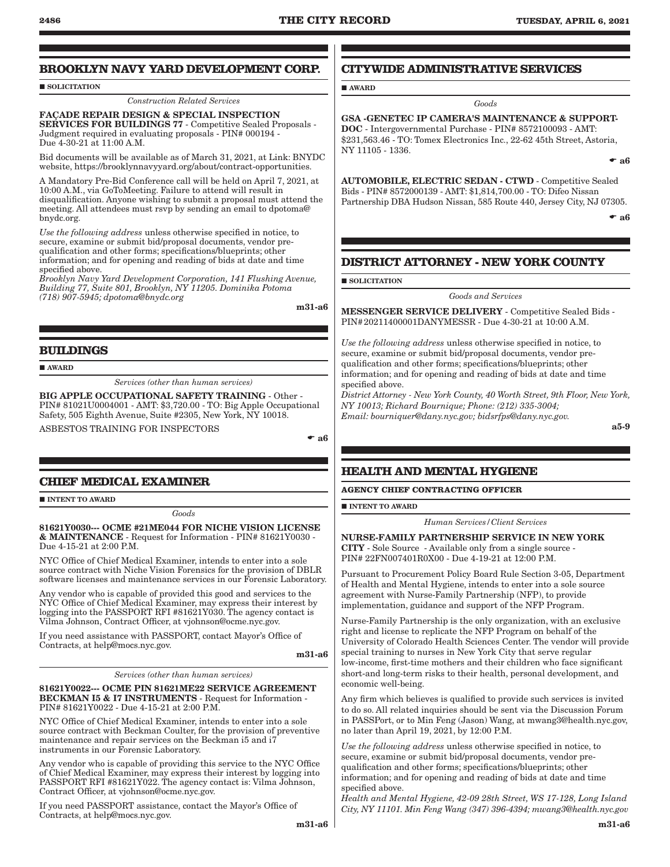AWARD

# <span id="page-5-0"></span>**BROOKLYN NAVY YARD DEVELOPMENT CORP.**

## **SOLICITATION**

*Construction Related Services*

FAÇADE REPAIR DESIGN & SPECIAL INSPECTION SERVICES FOR BUILDINGS 77 - Competitive Sealed Proposals - Judgment required in evaluating proposals - PIN# 000194 - Due 4-30-21 at 11:00 A.M.

Bid documents will be available as of March 31, 2021, at Link: BNYDC website, https://brooklynnavyyard.org/about/contract-opportunities.

A Mandatory Pre-Bid Conference call will be held on April 7, 2021, at 10:00 A.M., via GoToMeeting. Failure to attend will result in disqualification. Anyone wishing to submit a proposal must attend the meeting. All attendees must rsvp by sending an email to dpotoma@ bnydc.org.

*Use the following address* unless otherwise specified in notice, to secure, examine or submit bid/proposal documents, vendor prequalification and other forms; specifications/blueprints; other information; and for opening and reading of bids at date and time specified above.

*Brooklyn Navy Yard Development Corporation, 141 Flushing Avenue, Building 77, Suite 801, Brooklyn, NY 11205. Dominika Potoma (718) 907-5945; dpotoma@bnydc.org*

m31-a6

## **BUILDINGS**

**AWARD** 

*Services (other than human services)*

BIG APPLE OCCUPATIONAL SAFETY TRAINING - Other - PIN# 81021U0004001 - AMT: \$3,720.00 - TO: Big Apple Occupational Safety, 505 Eighth Avenue, Suite #2305, New York, NY 10018.

ASBESTOS TRAINING FOR INSPECTORS

 $\bullet$  a<sub>6</sub>

## **CHIEF MEDICAL EXAMINER**

**INTENT TO AWARD** 

*Goods*

81621Y0030--- OCME #21ME044 FOR NICHE VISION LICENSE & MAINTENANCE - Request for Information - PIN# 81621Y0030 - Due 4-15-21 at 2:00 P.M.

NYC Office of Chief Medical Examiner, intends to enter into a sole source contract with Niche Vision Forensics for the provision of DBLR software licenses and maintenance services in our Forensic Laboratory.

Any vendor who is capable of provided this good and services to the NYC Office of Chief Medical Examiner, may express their interest by logging into the PASSPORT RFI #81621Y030. The agency contact is Vilma Johnson, Contract Officer, at vjohnson@ocme.nyc.gov.

If you need assistance with PASSPORT, contact Mayor's Office of Contracts, at help@mocs.nyc.gov.

m31-a6

*Services (other than human services)*

81621Y0022--- OCME PIN 81621ME22 SERVICE AGREEMENT BECKMAN I5 & I7 INSTRUMENTS - Request for Information - PIN# 81621Y0022 - Due 4-15-21 at 2:00 P.M.

NYC Office of Chief Medical Examiner, intends to enter into a sole source contract with Beckman Coulter, for the provision of preventive maintenance and repair services on the Beckman i5 and i7 instruments in our Forensic Laboratory.

Any vendor who is capable of providing this service to the NYC Office of Chief Medical Examiner, may express their interest by logging into PASSPORT RFI #81621Y022. The agency contact is: Vilma Johnson, Contract Officer, at vjohnson@ocme.nyc.gov.

If you need PASSPORT assistance, contact the Mayor's Office of Contracts, at help@mocs.nyc.gov.

## **CITYWIDE ADMINISTRATIVE SERVICES**

*Goods*

GSA -GENETEC IP CAMERA'S MAINTENANCE & SUPPORT-DOC - Intergovernmental Purchase - PIN# 8572100093 - AMT: \$231,563.46 - TO: Tomex Electronics Inc., 22-62 45th Street, Astoria, NY 11105 - 1336.

 $\bullet$  a<sub>6</sub>

AUTOMOBILE, ELECTRIC SEDAN - CTWD - Competitive Sealed Bids - PIN# 8572000139 - AMT: \$1,814,700.00 - TO: Difeo Nissan Partnership DBA Hudson Nissan, 585 Route 440, Jersey City, NJ 07305.

 $\bullet$  a6

# **DISTRICT ATTORNEY - NEW YORK COUNTY**

**SOLICITATION** 

*Goods and Services*

MESSENGER SERVICE DELIVERY - Competitive Sealed Bids - PIN#20211400001DANYMESSR - Due 4-30-21 at 10:00 A.M.

*Use the following address* unless otherwise specified in notice, to secure, examine or submit bid/proposal documents, vendor prequalification and other forms; specifications/blueprints; other information; and for opening and reading of bids at date and time specified above.

*District Attorney - New York County, 40 Worth Street, 9th Floor, New York, NY 10013; Richard Bournique; Phone: (212) 335-3004; Email: bourniquer@dany.nyc.gov; bidsrfps@dany.nyc.gov.*

a5-9

# **HEALTH AND MENTAL HYGIENE**

**AGENCY CHIEF CONTRACTING OFFICER**

**INTENT TO AWARD** 

*Human Services/Client Services*

NURSE-FAMILY PARTNERSHIP SERVICE IN NEW YORK CITY - Sole Source - Available only from a single source - PIN# 22FN007401R0X00 - Due 4-19-21 at 12:00 P.M.

Pursuant to Procurement Policy Board Rule Section 3-05, Department of Health and Mental Hygiene, intends to enter into a sole source agreement with Nurse-Family Partnership (NFP), to provide implementation, guidance and support of the NFP Program.

Nurse-Family Partnership is the only organization, with an exclusive right and license to replicate the NFP Program on behalf of the University of Colorado Health Sciences Center. The vendor will provide special training to nurses in New York City that serve regular low-income, first-time mothers and their children who face significant short-and long-term risks to their health, personal development, and economic well-being.

Any firm which believes is qualified to provide such services is invited to do so. All related inquiries should be sent via the Discussion Forum in PASSPort, or to Min Feng (Jason) Wang, at mwang3@health.nyc.gov, no later than April 19, 2021, by 12:00 P.M.

*Use the following address* unless otherwise specified in notice, to secure, examine or submit bid/proposal documents, vendor prequalification and other forms; specifications/blueprints; other information; and for opening and reading of bids at date and time specified above.

*Health and Mental Hygiene, 42-09 28th Street, WS 17-128, Long Island City, NY 11101. Min Feng Wang (347) 396-4394; mwang3@health.nyc.gov*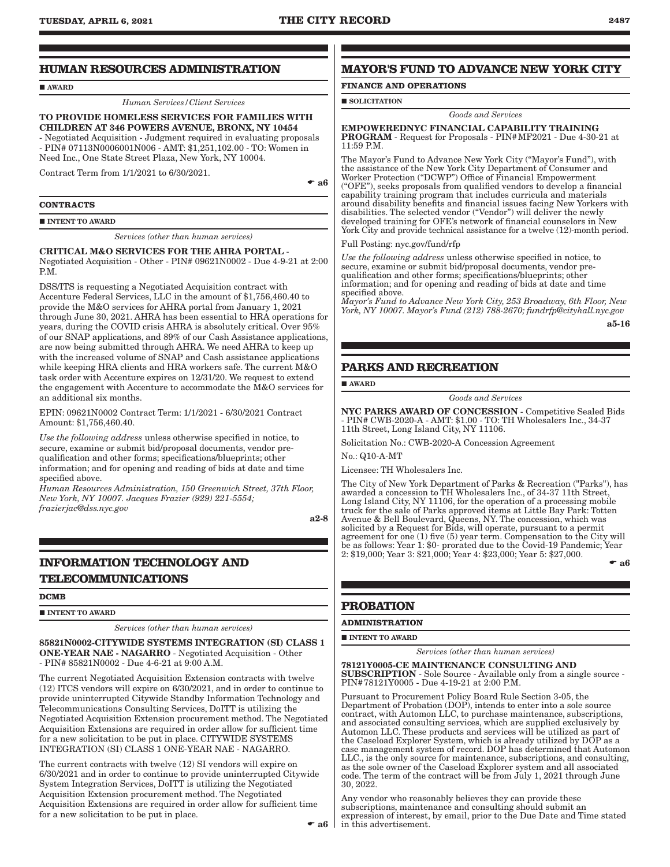## <span id="page-6-0"></span>**HUMAN RESOURCES ADMINISTRATION**

#### AWARD

*Human Services/Client Services*

### TO PROVIDE HOMELESS SERVICES FOR FAMILIES WITH CHILDREN AT 346 POWERS AVENUE, BRONX, NY 10454 - Negotiated Acquisition - Judgment required in evaluating proposals

- PIN# 07113N0006001N006 - AMT: \$1,251,102.00 - TO: Women in Need Inc., One State Street Plaza, New York, NY 10004.

Contract Term from 1/1/2021 to 6/30/2021.

 $\bullet$  a<sub>6</sub>

#### **CONTRACTS**

#### **INTENT TO AWARD**

*Services (other than human services)*

#### CRITICAL M&O SERVICES FOR THE AHRA PORTAL - Negotiated Acquisition - Other - PIN# 09621N0002 - Due 4-9-21 at 2:00 P.M.

DSS/ITS is requesting a Negotiated Acquisition contract with Accenture Federal Services, LLC in the amount of \$1,756,460.40 to provide the M&O services for AHRA portal from January 1, 2021 through June 30, 2021. AHRA has been essential to HRA operations for years, during the COVID crisis AHRA is absolutely critical. Over 95% of our SNAP applications, and 89% of our Cash Assistance applications, are now being submitted through AHRA. We need AHRA to keep up with the increased volume of SNAP and Cash assistance applications while keeping HRA clients and HRA workers safe. The current M&O task order with Accenture expires on 12/31/20. We request to extend the engagement with Accenture to accommodate the M&O services for an additional six months.

EPIN: 09621N0002 Contract Term: 1/1/2021 - 6/30/2021 Contract Amount: \$1,756,460.40.

*Use the following address* unless otherwise specified in notice, to secure, examine or submit bid/proposal documents, vendor prequalification and other forms; specifications/blueprints; other information; and for opening and reading of bids at date and time specified above.

*Human Resources Administration, 150 Greenwich Street, 37th Floor, New York, NY 10007. Jacques Frazier (929) 221-5554; frazierjac@dss.nyc.gov*

a2-8

# **INFORMATION TECHNOLOGY AND TELECOMMUNICATIONS**

#### **DCMB**

**INTENT TO AWARD** 

*Services (other than human services)*

85821N0002-CITYWIDE SYSTEMS INTEGRATION (SI) CLASS 1 ONE-YEAR NAE - NAGARRO - Negotiated Acquisition - Other - PIN# 85821N0002 - Due 4-6-21 at 9:00 A.M.

The current Negotiated Acquisition Extension contracts with twelve (12) ITCS vendors will expire on 6/30/2021, and in order to continue to provide uninterrupted Citywide Standby Information Technology and Telecommunications Consulting Services, DoITT is utilizing the Negotiated Acquisition Extension procurement method. The Negotiated Acquisition Extensions are required in order allow for sufficient time for a new solicitation to be put in place. CITYWIDE SYSTEMS INTEGRATION (SI) CLASS 1 ONE-YEAR NAE - NAGARRO.

The current contracts with twelve (12) SI vendors will expire on 6/30/2021 and in order to continue to provide uninterrupted Citywide System Integration Services, DoITT is utilizing the Negotiated Acquisition Extension procurement method. The Negotiated Acquisition Extensions are required in order allow for sufficient time for a new solicitation to be put in place.

## **MAYOR'S FUND TO ADVANCE NEW YORK CITY**

## **FINANCE AND OPERATIONS**

#### $\blacksquare$  SOLICITATION

#### *Goods and Services*

#### EMPOWEREDNYC FINANCIAL CAPABILITY TRAINING PROGRAM - Request for Proposals - PIN#MF2021 - Due 4-30-21 at 11:59 P.M.

The Mayor's Fund to Advance New York City ("Mayor's Fund"), with the assistance of the New York City Department of Consumer and Worker Protection ("DCWP") Office of Financial Empowerment ("OFE"), seeks proposals from qualified vendors to develop a financial capability training program that includes curricula and materials around disability benefits and financial issues facing New Yorkers with disabilities. The selected vendor ("Vendor") will deliver the newly developed training for OFE's network of financial counselors in New York City and provide technical assistance for a twelve (12)-month period.

#### Full Posting: nyc.gov/fund/rfp

*Use the following address* unless otherwise specified in notice, to secure, examine or submit bid/proposal documents, vendor prequalification and other forms; specifications/blueprints; other information; and for opening and reading of bids at date and time specified above.

*Mayor's Fund to Advance New York City, 253 Broadway, 6th Floor, New York, NY 10007. Mayor's Fund (212) 788-2670; fundrfp@cityhall.nyc.gov*

a5-16

## **PARKS AND RECREATION**

AWARD

#### *Goods and Services*

NYC PARKS AWARD OF CONCESSION - Competitive Sealed Bids - PIN# CWB-2020-A - AMT: \$1.00 - TO: TH Wholesalers Inc., 34-37 11th Street, Long Island City, NY 11106.

Solicitation No.: CWB-2020-A Concession Agreement

No.: Q10-A-MT

Licensee: TH Wholesalers Inc.

The City of New York Department of Parks & Recreation ("Parks"), has awarded a concession to TH Wholesalers Inc., of 34-37 11th Street, Long Island City, NY 11106, for the operation of a processing mobile truck for the sale of Parks approved items at Little Bay Park: Totten Avenue & Bell Boulevard, Queens, NY. The concession, which was solicited by a Request for Bids, will operate, pursuant to a permit agreement for one (1) five (5) year term. Compensation to the City will be as follows: Year 1: \$0- prorated due to the Covid-19 Pandemic; Year 2: \$19,000; Year 3: \$21,000; Year 4: \$23,000; Year 5: \$27,000.  $\bullet$  a<sub>6</sub>

## **PROBATION**

#### **ADMINISTRATION**

**INTENT TO AWARD** 

*Services (other than human services)*

78121Y0005-CE MAINTENANCE CONSULTING AND

SUBSCRIPTION - Sole Source - Available only from a single source - PIN#78121Y0005 - Due 4-19-21 at 2:00 P.M.

Pursuant to Procurement Policy Board Rule Section 3-05, the Department of Probation (DOP), intends to enter into a sole source contract, with Automon LLC, to purchase maintenance, subscriptions, and associated consulting services, which are supplied exclusively by Automon LLC. These products and services will be utilized as part of the Caseload Explorer System, which is already utilized by DOP as a case management system of record. DOP has determined that Automon LLC., is the only source for maintenance, subscriptions, and consulting, as the sole owner of the Caseload Explorer system and all associated code. The term of the contract will be from July 1, 2021 through June 30, 2022.

 $\bullet$  **a6** in this advertisement. Any vendor who reasonably believes they can provide these subscriptions, maintenance and consulting should submit an expression of interest, by email, prior to the Due Date and Time stated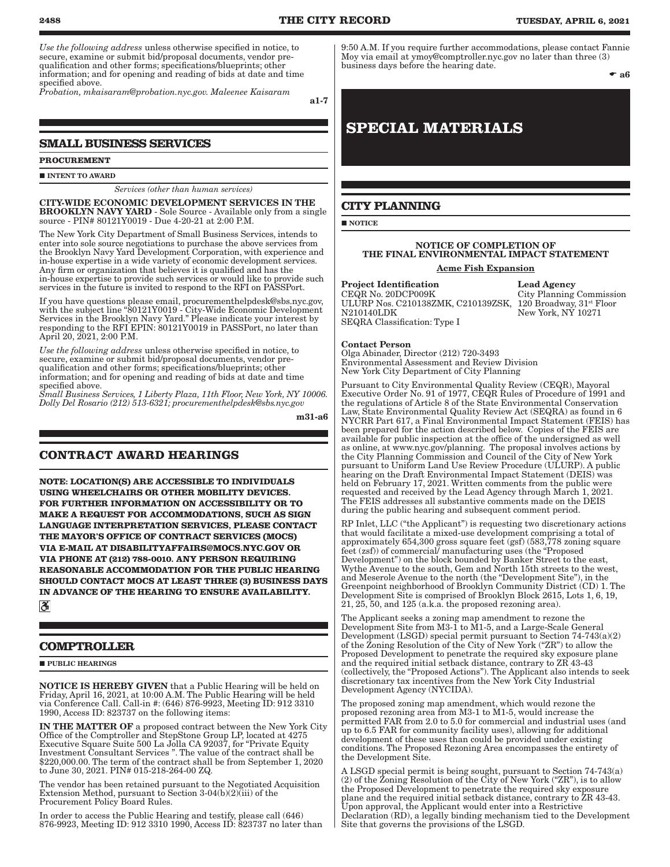<span id="page-7-0"></span>*Use the following address* unless otherwise specified in notice, to secure, examine or submit bid/proposal documents, vendor prequalification and other forms; specifications/blueprints; other information; and for opening and reading of bids at date and time specified above.

*Probation, mkaisaram@probation.nyc.gov. Maleenee Kaisaram*

a1-7

## **SMALL BUSINESS SERVICES**

**PROCUREMENT**

 $\blacksquare$ INTENT TO AWARD

*Services (other than human services)*

CITY-WIDE ECONOMIC DEVELOPMENT SERVICES IN THE BROOKLYN NAVY YARD - Sole Source - Available only from a single source - PIN# 80121Y0019 - Due 4-20-21 at 2:00 P.M.

The New York City Department of Small Business Services, intends to enter into sole source negotiations to purchase the above services from the Brooklyn Navy Yard Development Corporation, with experience and in-house expertise in a wide variety of economic development services. Any firm or organization that believes it is qualified and has the in-house expertise to provide such services or would like to provide such services in the future is invited to respond to the RFI on PASSPort.

If you have questions please email, procurementhelpdesk@sbs.nyc.gov, with the subject line "80121Y0019 - City-Wide Economic Development Services in the Brooklyn Navy Yard." Please indicate your interest by responding to the RFI EPIN: 80121Y0019 in PASSPort, no later than April 20, 2021, 2:00 P.M.

*Use the following address* unless otherwise specified in notice, to secure, examine or submit bid/proposal documents, vendor prequalification and other forms; specifications/blueprints; other information; and for opening and reading of bids at date and time specified above.

*Small Business Services, 1 Liberty Plaza, 11th Floor, New York, NY 10006. Dolly Del Rosario (212) 513-6321; procurementhelpdesk@sbs.nyc.gov*

m31-a6

## **CONTRACT AWARD HEARINGS**

**NOTE: LOCATION(S) ARE ACCESSIBLE TO INDIVIDUALS USING WHEELCHAIRS OR OTHER MOBILITY DEVICES. FOR FURTHER INFORMATION ON ACCESSIBILITY OR TO MAKE A REQUEST FOR ACCOMMODATIONS, SUCH AS SIGN LANGUAGE INTERPRETATION SERVICES, PLEASE CONTACT THE MAYOR'S OFFICE OF CONTRACT SERVICES (MOCS) VIA E-MAIL AT DISABILITYAFFAIRS@MOCS.NYC.GOV OR VIA PHONE AT (212) 788-0010. ANY PERSON REQUIRING REASONABLE ACCOMMODATION FOR THE PUBLIC HEARING SHOULD CONTACT MOCS AT LEAST THREE (3) BUSINESS DAYS IN ADVANCE OF THE HEARING TO ENSURE AVAILABILITY.**  $|\mathcal{S}|$ 

## **COMPTROLLER**

**PURLIC HEARINGS** 

NOTICE IS HEREBY GIVEN that a Public Hearing will be held on Friday, April 16, 2021, at 10:00 A.M. The Public Hearing will be held via Conference Call. Call-in #: (646) 876-9923, Meeting ID: 912 3310 1990, Access ID: 823737 on the following items:

IN THE MATTER OF a proposed contract between the New York City Office of the Comptroller and StepStone Group LP, located at 4275 Executive Square Suite 500 La Jolla CA 92037, for "Private Equity Investment Consultant Services ". The value of the contract shall be \$220,000.00. The term of the contract shall be from September 1, 2020 to June 30, 2021. PIN# 015-218-264-00 ZQ.

The vendor has been retained pursuant to the Negotiated Acquisition Extension Method, pursuant to Section 3-04(b)(2)(iii) of the Procurement Policy Board Rules.

In order to access the Public Hearing and testify, please call (646) 876-9923, Meeting ID: 912 3310 1990, Access ID: 823737 no later than 9:50 A.M. If you require further accommodations, please contact Fannie Moy via email at ymoy@comptroller.nyc.gov no later than three (3) business days before the hearing date.

 $\bullet$  a<sub>6</sub>

# **SPECIAL MATERIALS**

## **CITY PLANNING**

**NOTICE** 

# NOTICE OF COMPLETION OF THE FINAL ENVIRONMENTAL IMPACT STATEMENT

## Acme Fish Expansion

**Project Identification Lead Agency**<br>CEQR No. 20DCP009K City Planning ULURP Nos. C210138ZMK, C210139ZSK, N210140LDK SEQRA Classification: Type I

City Planning Commission 120 Broadway, 31<sup>st</sup> Floor New York, NY 10271

## Contact Person

Olga Abinader, Director (212) 720-3493 Environmental Assessment and Review Division New York City Department of City Planning

Pursuant to City Environmental Quality Review (CEQR), Mayoral Executive Order No. 91 of 1977, CEQR Rules of Procedure of 1991 and the regulations of Article 8 of the State Environmental Conservation Law, State Environmental Quality Review Act (SEQRA) as found in 6 NYCRR Part 617, a Final Environmental Impact Statement (FEIS) has been prepared for the action described below. Copies of the FEIS are available for public inspection at the office of the undersigned as well as online, at www.nyc.gov/planning. The proposal involves actions by the City Planning Commission and Council of the City of New York pursuant to Uniform Land Use Review Procedure (ULURP). A public hearing on the Draft Environmental Impact Statement (DEIS) was held on February 17, 2021. Written comments from the public were requested and received by the Lead Agency through March 1, 2021. The FEIS addresses all substantive comments made on the DEIS during the public hearing and subsequent comment period.

RP Inlet, LLC ("the Applicant") is requesting two discretionary actions that would facilitate a mixed-use development comprising a total of approximately 654,300 gross square feet (gsf) (583,778 zoning square feet (zsf)) of commercial/ manufacturing uses (the "Proposed Development") on the block bounded by Banker Street to the east, Wythe Avenue to the south, Gem and North 15th streets to the west, and Meserole Avenue to the north (the "Development Site"), in the Greenpoint neighborhood of Brooklyn Community District (CD) 1. The Development Site is comprised of Brooklyn Block 2615, Lots 1, 6, 19, 21, 25, 50, and 125 (a.k.a. the proposed rezoning area).

The Applicant seeks a zoning map amendment to rezone the Development Site from M3-1 to M1-5, and a Large-Scale General Development (LSGD) special permit pursuant to Section 74-743(a)(2) of the Zoning Resolution of the City of New York ("ZR") to allow the Proposed Development to penetrate the required sky exposure plane and the required initial setback distance, contrary to ZR 43-43 (collectively, the "Proposed Actions"). The Applicant also intends to seek discretionary tax incentives from the New York City Industrial Development Agency (NYCIDA).

The proposed zoning map amendment, which would rezone the proposed rezoning area from M3-1 to M1-5, would increase the permitted FAR from 2.0 to 5.0 for commercial and industrial uses (and up to 6.5 FAR for community facility uses), allowing for additional development of these uses than could be provided under existing conditions. The Proposed Rezoning Area encompasses the entirety of the Development Site.

A LSGD special permit is being sought, pursuant to Section 74-743(a) (2) of the Zoning Resolution of the City of New York ("ZR"), is to allow the Proposed Development to penetrate the required sky exposure plane and the required initial setback distance, contrary to ZR 43-43. Upon approval, the Applicant would enter into a Restrictive Declaration (RD), a legally binding mechanism tied to the Development Site that governs the provisions of the LSGD.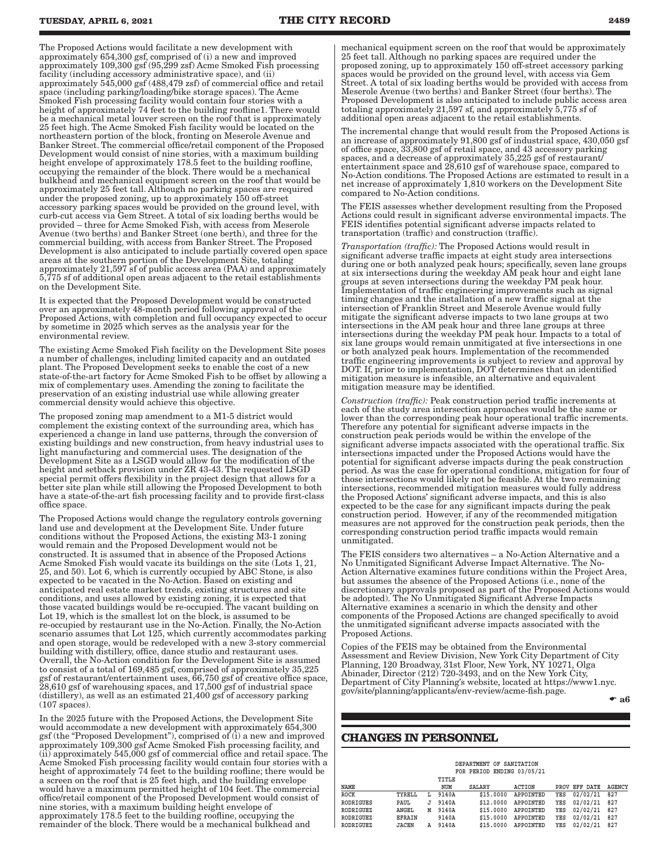<span id="page-8-0"></span>The Proposed Actions would facilitate a new development with approximately 654,300 gsf, comprised of (i) a new and improved approximately 109,300 gsf (95,299 zsf) Acme Smoked Fish processing facility (including accessory administrative space), and (ii) approximately 545,000 gsf (488,479 zsf) of commercial office and retail space (including parking/loading/bike storage spaces). The Acme Smoked Fish processing facility would contain four stories with a height of approximately 74 feet to the building roofline1. There would be a mechanical metal louver screen on the roof that is approximately 25 feet high. The Acme Smoked Fish facility would be located on the northeastern portion of the block, fronting on Meserole Avenue and Banker Street. The commercial office/retail component of the Proposed Development would consist of nine stories, with a maximum building height envelope of approximately 178.5 feet to the building roofline, occupying the remainder of the block. There would be a mechanical bulkhead and mechanical equipment screen on the roof that would be approximately 25 feet tall. Although no parking spaces are required under the proposed zoning, up to approximately 150 off-street accessory parking spaces would be provided on the ground level, with curb-cut access via Gem Street. A total of six loading berths would be provided – three for Acme Smoked Fish, with access from Meserole Avenue (two berths) and Banker Street (one berth), and three for the commercial building, with access from Banker Street. The Proposed Development is also anticipated to include partially covered open space areas at the southern portion of the Development Site, totaling approximately 21,597 sf of public access area (PAA) and approximately 5,775 sf of additional open areas adjacent to the retail establishments on the Development Site.

It is expected that the Proposed Development would be constructed over an approximately 48-month period following approval of the Proposed Actions, with completion and full occupancy expected to occur by sometime in 2025 which serves as the analysis year for the environmental review.

The existing Acme Smoked Fish facility on the Development Site poses a number of challenges, including limited capacity and an outdated plant. The Proposed Development seeks to enable the cost of a new state-of-the-art factory for Acme Smoked Fish to be offset by allowing a mix of complementary uses. Amending the zoning to facilitate the preservation of an existing industrial use while allowing greater commercial density would achieve this objective.

The proposed zoning map amendment to a M1-5 district would complement the existing context of the surrounding area, which has experienced a change in land use patterns, through the conversion of existing buildings and new construction, from heavy industrial uses to light manufacturing and commercial uses. The designation of the Development Site as a LSGD would allow for the modification of the height and setback provision under ZR 43-43. The requested LSGD special permit offers flexibility in the project design that allows for a better site plan while still allowing the Proposed Development to both have a state-of-the-art fish processing facility and to provide first-class office space.

The Proposed Actions would change the regulatory controls governing land use and development at the Development Site. Under future conditions without the Proposed Actions, the existing M3-1 zoning would remain and the Proposed Development would not be constructed. It is assumed that in absence of the Proposed Actions Acme Smoked Fish would vacate its buildings on the site (Lots 1, 21, 25, and 50). Lot 6, which is currently occupied by ABC Stone, is also expected to be vacated in the No-Action. Based on existing and anticipated real estate market trends, existing structures and site conditions, and uses allowed by existing zoning, it is expected that those vacated buildings would be re-occupied. The vacant building on Lot 19, which is the smallest lot on the block, is assumed to be re-occupied by restaurant use in the No-Action. Finally, the No-Action scenario assumes that Lot 125, which currently accommodates parking and open storage, would be redeveloped with a new 3-story commercial building with distillery, office, dance studio and restaurant uses. Overall, the No-Action condition for the Development Site is assumed to consist of a total of 169,485 gsf, comprised of approximately 35,225 gsf of restaurant/entertainment uses, 66,750 gsf of creative office space, 28,610 gsf of warehousing spaces, and 17,500 gsf of industrial space (distillery), as well as an estimated 21,400 gsf of accessory parking (107 spaces).

In the 2025 future with the Proposed Actions, the Development Site would accommodate a new development with approximately 654,300 gsf (the "Proposed Development"), comprised of (i) a new and improved approximately 109,300 gsf Acme Smoked Fish processing facility, and (ii) approximately 545,000 gsf of commercial office and retail space. The Acme Smoked Fish processing facility would contain four stories with a height of approximately 74 feet to the building roofline; there would be a screen on the roof that is 25 feet high, and the building envelope would have a maximum permitted height of 104 feet. The commercial office/retail component of the Proposed Development would consist of nine stories, with a maximum building height envelope of approximately 178.5 feet to the building roofline, occupying the remainder of the block. There would be a mechanical bulkhead and

mechanical equipment screen on the roof that would be approximately 25 feet tall. Although no parking spaces are required under the proposed zoning, up to approximately 150 off-street accessory parking spaces would be provided on the ground level, with access via Gem Street. A total of six loading berths would be provided with access from Meserole Avenue (two berths) and Banker Street (four berths). The Proposed Development is also anticipated to include public access area totaling approximately 21,597 sf, and approximately 5,775 sf of additional open areas adjacent to the retail establishments.

The incremental change that would result from the Proposed Actions is an increase of approximately 91,800 gsf of industrial space, 430,050 gsf of office space, 33,800 gsf of retail space, and 43 accessory parking spaces, and a decrease of approximately 35,225 gsf of restaurant/ entertainment space and 28,610 gsf of warehouse space, compared to No-Action conditions. The Proposed Actions are estimated to result in a net increase of approximately 1,810 workers on the Development Site compared to No-Action conditions.

The FEIS assesses whether development resulting from the Proposed Actions could result in significant adverse environmental impacts. The FEIS identifies potential significant adverse impacts related to transportation (traffic) and construction (traffic).

*Transportation (traffic):* The Proposed Actions would result in significant adverse traffic impacts at eight study area intersections during one or both analyzed peak hours; specifically, seven lane groups at six intersections during the weekday AM peak hour and eight lane groups at seven intersections during the weekday PM peak hour. Implementation of traffic engineering improvements such as signal timing changes and the installation of a new traffic signal at the intersection of Franklin Street and Meserole Avenue would fully mitigate the significant adverse impacts to two lane groups at two intersections in the AM peak hour and three lane groups at three intersections during the weekday PM peak hour. Impacts to a total of six lane groups would remain unmitigated at five intersections in one or both analyzed peak hours. Implementation of the recommended traffic engineering improvements is subject to review and approval by DOT. If, prior to implementation, DOT determines that an identified mitigation measure is infeasible, an alternative and equivalent mitigation measure may be identified.

*Construction (traffic):* Peak construction period traffic increments at each of the study area intersection approaches would be the same or lower than the corresponding peak hour operational traffic increments. Therefore any potential for significant adverse impacts in the construction peak periods would be within the envelope of the significant adverse impacts associated with the operational traffic. Six intersections impacted under the Proposed Actions would have the potential for significant adverse impacts during the peak construction period. As was the case for operational conditions, mitigation for four of those intersections would likely not be feasible. At the two remaining intersections, recommended mitigation measures would fully address the Proposed Actions' significant adverse impacts, and this is also expected to be the case for any significant impacts during the peak construction period. However, if any of the recommended mitigation measures are not approved for the construction peak periods, then the corresponding construction period traffic impacts would remain unmitigated.

The FEIS considers two alternatives – a No-Action Alternative and a No Unmitigated Significant Adverse Impact Alternative. The No-Action Alternative examines future conditions within the Project Area, but assumes the absence of the Proposed Actions (i.e., none of the discretionary approvals proposed as part of the Proposed Actions would be adopted). The No Unmitigated Significant Adverse Impacts Alternative examines a scenario in which the density and other components of the Proposed Actions are changed specifically to avoid the unmitigated significant adverse impacts associated with the Proposed Actions.

Copies of the FEIS may be obtained from the Environmental Assessment and Review Division, New York City Department of City Planning, 120 Broadway, 31st Floor, New York, NY 10271, Olga Abinader, Director (212) 720-3493, and on the New York City, Department of City Planning's website, located at [https://www1.nyc.](https://www1.nyc.gov/site/planning/applicants/env-review/acme-fish.page) [gov/site/planning/applicants/env-review/acme-fish.page.](https://www1.nyc.gov/site/planning/applicants/env-review/acme-fish.page)

#### $\bullet$  a<sub>6</sub>

## **CHANGES IN PERSONNEL**

| DEPARTMENT OF SANITATION<br>FOR PERIOD ENDING 03/05/21 |               |   |       |               |                  |     |               |               |  |  |
|--------------------------------------------------------|---------------|---|-------|---------------|------------------|-----|---------------|---------------|--|--|
|                                                        |               |   | TITLE |               |                  |     |               |               |  |  |
| NAME                                                   |               |   | NUM   | <b>SALARY</b> | <b>ACTION</b>    |     | PROV EFF DATE | <b>AGENCY</b> |  |  |
| <b>ROCK</b>                                            | TYRELL        | L | 9140A | \$15,0000     | APPOINTED        | YES | 02/02/21      | 827           |  |  |
| <b>RODRIGUES</b>                                       | PAUL          | J | 9140A | \$12,0000     | APPOINTED        | YES | 02/02/21      | 827           |  |  |
| <b>RODRIGUEZ</b>                                       | ANGEL         | м | 9140A | \$15,0000     | APPOINTED        | YES | 02/02/21      | 827           |  |  |
| RODRIGUEZ                                              | <b>EFRAIN</b> |   | 9140A | \$15,0000     | APPOINTED        | YES | 02/02/21      | 827           |  |  |
| RODRIGUEZ                                              | <b>JACEN</b>  | Α | 9140A | \$15,0000     | <b>APPOINTED</b> | YES | 02/02/21      | 827           |  |  |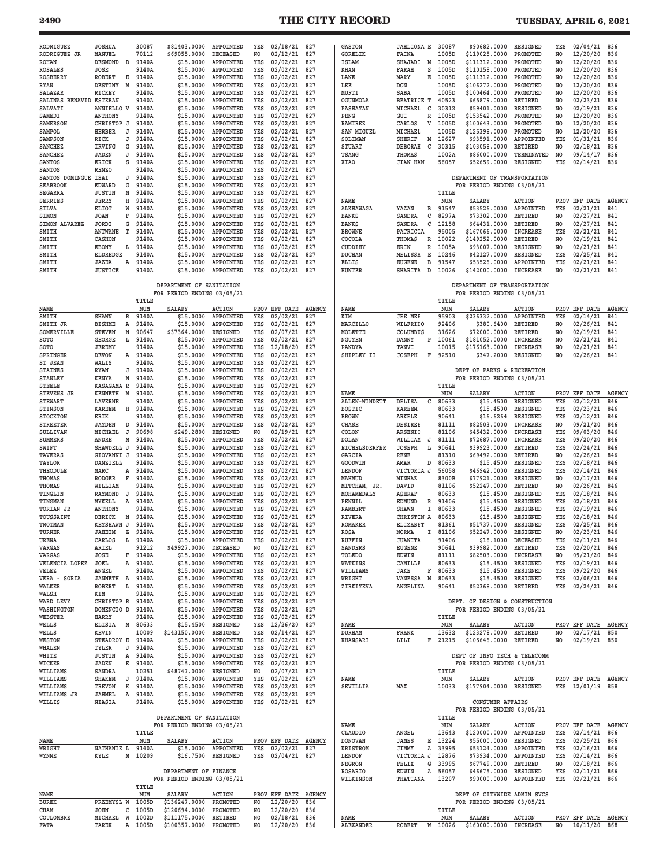## **2490 THE CITY RECORD TUESDAY, APRIL 6, 2021**

| RODRIGUEZ<br>RODRIGUEZ JR          | <b>JOSHUA</b><br>MANUEL           |             | 30087<br>70112     | \$81403.0000<br>\$69055.0000            | APPOINTED<br>DECEASED                      | YES<br>NO  | 02/18/21<br>02/12/21           | 827<br>827    | <b>GASTON</b><br><b>GORELIK</b> | JAHLIONA E 30087<br>FAINA          | 1005D          | \$90682.0000<br>\$119025.0000                                | RESIGNED<br>PROMOTED               | YES<br>NO             | 02/04/21<br>12/20/20             | 836<br>836    |
|------------------------------------|-----------------------------------|-------------|--------------------|-----------------------------------------|--------------------------------------------|------------|--------------------------------|---------------|---------------------------------|------------------------------------|----------------|--------------------------------------------------------------|------------------------------------|-----------------------|----------------------------------|---------------|
| ROHAN                              | <b>DESMOND</b><br>D               |             | 9140A              | \$15.0000                               | APPOINTED                                  | YES        | 02/02/21                       | 827           | ISLAM                           | SHAJADI<br>M                       | 1005D          | \$111312.0000                                                | PROMOTED                           | N <sub>O</sub>        | 12/20/20                         | 836           |
| <b>ROSALES</b><br>ROSBERRY         | JOSE<br><b>ROBERT</b>             | Е           | 9140A<br>9140A     | \$15,0000<br>\$15.0000                  | APPOINTED<br>APPOINTED                     | YES<br>YES | 02/02/21<br>02/02/21           | 827<br>827    | KHAN<br>LANE                    | S<br>FARAH<br>MARY<br>Е            | 1005D<br>1005D | \$110158.0000<br>\$111312.0000                               | PROMOTED<br>PROMOTED               | NO<br>NO              | 12/20/20<br>12/20/20             | 836<br>836    |
| <b>RYAN</b>                        | <b>DESTINY</b><br>M               |             | 9140A              | \$15,0000                               | APPOINTED                                  | YES        | 02/02/21                       | 827           | LEE                             | <b>DON</b>                         | 1005D          | \$106272.0000                                                | PROMOTED                           | N <sub>O</sub>        | 12/20/20                         | 836           |
| SALAZAR<br>SALINAS BENAVID ESTEBAN | RICKEY                            |             | 9140A<br>9140A     | \$15.0000<br>\$15.0000                  | APPOINTED<br>APPOINTED                     | YES<br>YES | 02/02/21<br>02/02/21           | 827<br>827    | MUFTI<br>OGUNMOLA               | SABA<br><b>BEATRICE T</b>          | 1005D<br>40523 | \$100464.0000<br>\$65879.0000                                | PROMOTED<br><b>RETIRED</b>         | N <sub>O</sub><br>NO. | 12/20/20<br>02/23/21             | 836<br>836    |
| SALVATI                            | ANNIELLO V                        |             | 9140A              | \$15,0000                               | APPOINTED                                  | YES        | 02/02/21                       | 827           | PASHAYAN                        | MICHAEL<br>C                       | 30312          | \$59401.0000                                                 | RESIGNED                           | N <sub>O</sub>        | 02/19/21                         | 836           |
| SAMEDI<br>SAMERSON                 | <b>ANTHONY</b><br>CHRISTOP J      |             | 9140A<br>9140A     | \$15,0000<br>\$15,0000                  | APPOINTED<br>APPOINTED                     | YES<br>YES | 02/02/21<br>02/02/21           | 827<br>827    | PENG<br><b>RAMIREZ</b>          | GUI<br>R<br>CARLOS<br>v            | 1005D<br>1005D | \$153542.0000<br>\$100643.0000                               | PROMOTED<br>PROMOTED               | N <sub>O</sub><br>NO  | 12/20/20<br>12/20/20             | 836<br>836    |
| SAMPOL                             | <b>HERBER</b><br>J                |             | 9140A              | \$15,0000                               | APPOINTED                                  | YES        | 02/02/21                       | 827           | <b>SAN MIGUEL</b>               | MICHAEL                            | 1005D          | \$125398.0000                                                | PROMOTED                           | NO.                   | 12/20/20                         | 836           |
| <b>SAMPSON</b>                     | RICK<br>IRVING                    | J<br>G      | 9140A<br>9140A     | \$15.0000<br>\$15,0000                  | APPOINTED<br>APPOINTED                     | YES<br>YES | 02/02/21<br>02/02/21           | 827<br>827    | SOLIMAN                         | <b>SHERIF</b><br>Μ<br>DEBORAH<br>C | 12627<br>30315 | \$93591.0000                                                 | APPOINTED<br><b>RETIRED</b>        | YES                   | 01/31/21                         | 836           |
| <b>SANCHEZ</b><br><b>SANCHEZ</b>   | <b>JADEN</b>                      | $\mathbb J$ | 9140A              | \$15,0000                               | APPOINTED                                  | YES        | 02/02/21                       | 827           | STUART<br><b>TSANG</b>          | THOMAS                             | 1002A          | \$103058.0000<br>\$86000.0000                                | TERMINATED                         | NO<br>N <sub>O</sub>  | 02/18/21<br>09/14/17             | 836<br>836    |
| <b>SANTOS</b>                      | <b>ERICK</b>                      | S           | 9140A              | \$15,0000                               | APPOINTED                                  | YES        | 02/02/21                       | 827           | XIAO                            | <b>JIAN HAN</b>                    | 56057          | \$52659.0000                                                 | RESIGNED                           | YES                   | 02/14/21                         | 836           |
| SANTOS<br>SANTOS DOMINGUE          | <b>RENZO</b><br>ISAI              | J           | 9140A<br>9140A     | \$15,0000<br>\$15,0000                  | APPOINTED<br>APPOINTED                     | YES<br>YES | 02/02/21<br>02/02/21           | 827<br>827    |                                 |                                    |                | DEPARTMENT OF TRANSPORTATION                                 |                                    |                       |                                  |               |
| <b>SEABROOK</b>                    | <b>EDWARD</b>                     | G           | 9140A              | \$15,0000                               | APPOINTED                                  | YES        | 02/02/21                       | 827           |                                 |                                    |                | FOR PERIOD ENDING 03/05/21                                   |                                    |                       |                                  |               |
| <b>SEGARRA</b><br>SERRIES          | <b>JUSTIN</b><br>JERRY            | N<br>Н      | 9140A<br>9140A     | \$15,0000<br>\$15,0000                  | APPOINTED<br>APPOINTED                     | YES<br>YES | 02/02/21<br>02/02/21           | 827<br>827    | NAME                            |                                    | TITLE<br>NUM   | SALARY                                                       | <b>ACTION</b>                      | PROV                  | EFF DATE AGENCY                  |               |
| SILVA                              | ELIOT                             | W           | 9140A              | \$15,0000                               | APPOINTED                                  | YES        | 02/02/21                       | 827           | <b>ALKHAWAGA</b>                | YAZAN<br>в                         | 91547          | \$53526.0000                                                 | APPOINTED                          | YES                   | 02/21/21                         | 841           |
| SIMON<br>SIMON ALVAREZ             | <b>JOAN</b><br>F<br>JORDI         | G           | 9140A<br>9140A     | \$15,0000<br>\$15,0000                  | APPOINTED<br>APPOINTED                     | YES<br>YES | 02/02/21<br>02/02/21           | 827<br>827    | <b>BANKS</b><br><b>BANKS</b>    | SANDRA<br>С<br>C<br>SANDRA         | 8297A<br>12158 | \$73302.0000<br>\$64431.0000                                 | RETIRED<br>RETIRED                 | NO.<br>NO             | 02/27/21<br>02/27/21             | 841<br>841    |
| SMITH                              | <b>ANTWANE</b><br>т               |             | 9140A              | \$15,0000                               | APPOINTED                                  | YES        | 02/02/21                       | 827           | <b>BROWNE</b>                   | PATRICIA                           | 95005          | \$167066.0000                                                | <b>INCREASE</b>                    | YES                   | 02/21/21                         | 841           |
| SMITH<br>SMITH                     | CASHON<br>EBONY                   | L           | 9140A<br>9140A     | \$15.0000<br>\$15,0000                  | APPOINTED<br>APPOINTED                     | YES<br>YES | 02/02/21<br>02/02/21           | 827<br>827    | COCOLA<br>CUDDIHY               | THOMAS<br>R<br>R<br>ERIN           | 10022<br>1005A | \$149252.0000<br>\$93007.0000                                | RETIRED<br>RESIGNED                | NO.<br>NO             | 02/19/21<br>02/21/21             | 841<br>841    |
| SMITH                              | ELDREDGE                          |             | 9140A              | \$15.0000                               | APPOINTED                                  | YES        | 02/02/21                       | 827           | <b>DUCHAN</b>                   | MELISSA<br>Е                       | 10246          | \$42127.0000                                                 | RESIGNED                           | YES                   | 02/25/21                         | 841           |
| SMITH<br>SMITH                     | JAZEA<br>A<br><b>JUSTICE</b>      |             | 9140A<br>9140A     | \$15,0000<br>\$15,0000                  | APPOINTED<br>APPOINTED                     | YES<br>YES | 02/02/21<br>02/02/21           | 827<br>827    | <b>ELLIS</b><br>HUNTER          | <b>EUGENE</b><br>в<br>SHARITA<br>D | 91547<br>10026 | \$53526.0000<br>\$142000.0000                                | APPOINTED<br><b>INCREASE</b>       | YES<br>NO             | 02/21/21<br>02/21/21             | 841<br>841    |
|                                    |                                   |             |                    | DEPARTMENT OF SANITATION                |                                            |            |                                |               |                                 |                                    |                | DEPARTMENT OF TRANSPORTATION                                 |                                    |                       |                                  |               |
|                                    |                                   |             | TITLE              | FOR PERIOD ENDING 03/05/21              |                                            |            |                                |               |                                 |                                    | TITLE          | FOR PERIOD ENDING 03/05/21                                   |                                    |                       |                                  |               |
| NAME                               |                                   |             | NUM                | <b>SALARY</b>                           | ACTION                                     |            | PROV EFF DATE                  | <b>AGENCY</b> | NAME                            |                                    | NUM            | SALARY                                                       | <b>ACTION</b>                      |                       | PROV EFF DATE                    | <b>AGENCY</b> |
| SMITH<br>SMITH JR                  | <b>SHAWN</b><br><b>BISHME</b>     | R<br>Α      | 9140A<br>9140A     | \$15.0000<br>\$15,0000                  | APPOINTED<br>APPOINTED                     | YES<br>YES | 02/02/21<br>02/02/21           | 827<br>827    | KIM<br>MARCILLO                 | <b>JEE MEE</b><br>WILFRIDO         | 95903<br>92406 | \$236332.0000<br>\$380.6400                                  | APPOINTED<br><b>RETIRED</b>        | YES<br>NO             | 02/14/21<br>02/26/21             | 841<br>841    |
| SOMERVILLE                         | <b>STEVEN</b>                     | N           | 90647              | \$37364.0000                            | <b>RESIGNED</b>                            | YES        | 02/07/21                       | 827           | MOLETTE                         | COLUMBUS                           | 31626          | \$72000.0000                                                 | RETIRED                            | NO.                   | 02/19/21                         | 841           |
| SOTO<br>SOTO                       | GEORGE<br>JEREMY                  | L           | 9140A<br>9140A     | \$15,0000<br>\$15,0000                  | APPOINTED<br>APPOINTED                     | YES<br>YES | 02/02/21<br>12/18/20           | 827<br>827    | NGUYEN<br>PANDYA                | DANNY<br>P<br>TANVI                | 10061<br>10015 | \$181052.0000<br>\$176163.0000                               | <b>INCREASE</b><br><b>INCREASE</b> | N <sub>O</sub><br>NO  | 02/21/21<br>02/21/21             | 841<br>841    |
| SPRINGER                           | <b>DEVON</b>                      | A           | 9140A              | \$15,0000                               | APPOINTED                                  | YES        | 02/02/21                       | 827           | SHIPLEY II                      | <b>JOSEPH</b><br>F                 | 92510          | \$347.2000                                                   | RESIGNED                           | N <sub>O</sub>        | 02/26/21                         | 841           |
| ST JEAN<br><b>STAINES</b>          | WALIS<br><b>RYAN</b>              | J           | 9140A<br>9140A     | \$15,0000<br>\$15.0000                  | APPOINTED<br>APPOINTED                     | YES<br>YES | 02/02/21<br>02/02/21           | 827<br>827    |                                 |                                    |                | DEPT OF PARKS & RECREATION                                   |                                    |                       |                                  |               |
| STANLEY                            | KENYA                             | N           | 9140A              | \$15,0000                               | APPOINTED                                  | YES        | 02/02/21                       | 827           |                                 |                                    |                | FOR PERIOD ENDING 03/05/21                                   |                                    |                       |                                  |               |
| <b>STEELE</b><br>STEVENS JR        | KASAGAMA R<br><b>KENNETH</b><br>M |             | 9140A<br>9140A     | \$15,0000<br>\$15.0000                  | APPOINTED<br>APPOINTED                     | YES<br>YES | 02/02/21<br>02/02/21           | 827<br>827    | NAME                            |                                    | TITLE<br>NUM   | SALARY                                                       | <b>ACTION</b>                      | PROV                  | EFF DATE                         | <b>AGENCY</b> |
| STEWART                            | <b>LAVERNE</b>                    |             | 9140A              | \$15,0000                               | APPOINTED                                  | YES        | 02/02/21                       | 827           | <b>ALLEN-WINDETT</b>            | C<br>DELISA                        | 80633          | \$15,4500                                                    | RESIGNED                           | YES                   | 02/12/21                         | 846           |
| STINSON<br><b>STOCKTON</b>         | <b>KAREEM</b><br>ERIK             | н           | 9140A<br>9140A     | \$15,0000<br>\$15.0000                  | APPOINTED<br>APPOINTED                     | YES<br>YES | 02/02/21<br>02/02/21           | 827<br>827    | <b>BOSTIC</b><br><b>BROWN</b>   | <b>KAREEM</b><br><b>ARKELE</b>     | 80633<br>90641 | \$15.4500<br>\$16.6264                                       | RESIGNED<br>RESIGNED               | YES<br>YES            | 02/23/21<br>02/12/21             | 846<br>846    |
| <b>STREETER</b>                    | <b>JAYDEN</b>                     | D           | 9140A              | \$15,0000                               | APPOINTED                                  | YES        | 02/02/21                       | 827           | CHASE                           | DESIREE                            | 81111          | \$82503.0000                                                 | <b>INCREASE</b>                    | NO                    | 09/21/20                         | 846           |
| SULLIVAN<br><b>SUMMERS</b>         | MICHAEL<br>J<br>ANDRE             | М           | 90698<br>9140A     | \$249.2800<br>\$15,0000                 | RESIGNED<br>APPOINTED                      | NO.<br>YES | 02/19/21<br>02/02/21           | 827<br>827    | COLON<br><b>DOLAN</b>           | ARSENIO<br>WILLIAM<br>J            | 81106<br>81111 | \$45432.0000<br>\$72687.0000                                 | <b>INCREASE</b><br><b>INCREASE</b> | YES<br>YES            | 09/03/20<br>09/20/20             | 846<br>846    |
| SWIFT                              | SHAWDELL J                        |             | 9140A              | \$15.0000                               | APPOINTED                                  | YES        | 02/02/21                       | 827           | <b>EICHELSDERFER</b>            | <b>JOSEPH</b><br>L                 | 90641          | \$39923.0000                                                 | RETIRED                            | YES                   | 02/24/21                         | 846           |
| TAVERAS<br>TAYLOR                  | GIOVANNI J<br>DANZIELL            |             | 9140A<br>9140A     | \$15.0000<br>\$15,0000                  | APPOINTED<br>APPOINTED                     | YES<br>YES | 02/02/21<br>02/02/21           | 827<br>827    | GARCIA<br>GOODWIN               | RENE<br>AMAR<br>D                  | 81310<br>80633 | \$69492.0000<br>\$15,4500                                    | RETIRED<br>RESIGNED                | NO<br>YES             | 02/26/21<br>02/18/21             | 846<br>846    |
| THEODULE                           | MARC                              | Α           | 9140A              | \$15.0000                               | APPOINTED                                  | YES        | 02/02/21                       | 827           | LENDOF                          | VICTORIA J                         | 56058          | \$46942.0000                                                 | <b>RESIGNED</b>                    | YES                   | 02/14/21                         | 846           |
| THOMAS                             | RODGER                            | F           | 9140A              | \$15,0000                               | APPOINTED                                  | YES        | 02/02/21                       | 827           | MAHMUD                          | MINHAZ                             | 8300B          | \$77921.0000                                                 | RESIGNED                           | NO                    | 02/17/21                         | 846           |
| THOMAS<br>TINGLIN                  | WILLIAM<br><b>RAYMOND</b><br>J    |             | 9140A<br>9140A     | \$15,0000<br>\$15,0000                  | APPOINTED<br>APPOINTED                     | YES<br>YES | 02/02/21<br>02/02/21           | 827<br>827    | MITCHAM, JR.<br>MOHAMEDALY      | DAVID<br><b>ASHRAF</b>             | 81106<br>80633 | \$52247.0000<br>\$15,4500                                    | RETIRED<br><b>RESIGNED</b>         | NO.<br>YES            | 02/26/21<br>02/18/21             | 846<br>846    |
| TINGMAN                            | MYKELL                            | Α           | 9140A              | \$15,0000                               | APPOINTED                                  | YES        | 02/02/21                       | 827           | PENNIL                          | <b>EDMUND</b><br>R                 | 91406          | \$15,4500                                                    | RESIGNED                           | YES                   | 02/18/21                         | 846           |
| TORIAN JR<br>TOUSSAINT             | <b>ANTHONY</b><br>DERICK          | N           | 9140A<br>9140A     | \$15.0000<br>\$15,0000                  | APPOINTED<br>APPOINTED                     | YES<br>YES | 02/02/21<br>02/02/21           | 827<br>827    | RAMBERT<br><b>RIVERA</b>        | SHAWN<br>I<br>CHRISTIN A           | 80633<br>80633 | \$15.4500<br>\$15.4500                                       | <b>RESIGNED</b><br>RESIGNED        | YES<br>YES            | 02/19/21<br>02/18/21             | 846<br>846    |
| TROTMAN                            | <b>KEYSHAWN</b><br>J              |             | 9140A              | \$15,0000                               | APPOINTED                                  | YES        | 02/02/21                       | 827           | <b>ROMAKER</b>                  | ELIZABET                           | 81361          | \$51737.0000                                                 | RESIGNED                           | YES                   | 02/25/21                         | 846           |
| TURNER<br>URENA                    | <b>JAHEIM</b><br>z<br>CARLOS      |             | 9140A<br>L 9140A   |                                         | \$15.0000 APPOINTED<br>\$15.0000 APPOINTED | YES<br>YES | 02/02/21 82<br>02/02/21 827    |               | ROSA<br>RUFFIN                  | NORMA<br>JUANITA                   | 81106<br>91406 | \$52247.0000 RESIGNED                                        | \$18.1000 DECEASED                 | NO<br>YES             | 02/23/21 846<br>$02/11/21$ 846   |               |
| VARGAS                             | ARIEL                             |             | 91212              | \$49927.0000 DECEASED                   |                                            | NO.        | $02/12/21$ 827                 |               | SANDERS                         | <b>EUGENE</b>                      | 90641          | \$39982.0000                                                 | RETIRED                            | YES                   | $02/20/21$ 846                   |               |
| VARGAS<br>VELENCIA LOPEZ           | JOSE<br>JOEL                      |             | F 9140A<br>A 9140A |                                         | \$15.0000 APPOINTED<br>\$15.0000 APPOINTED | YES<br>YES | 02/02/21 827<br>02/02/21 827   |               | TOLEDO<br>WATKINS               | EDWIN<br>CAMILLE                   | 81111<br>80633 | \$82503.0000 INCREASE<br>\$15.4500                           | RESIGNED                           | NO<br>YES             | 09/21/20 846<br>02/19/21 846     |               |
| VELEZ                              | ANGEL                             |             | 9140A              |                                         | \$15.0000 APPOINTED                        | YES        | 02/02/21                       | 827           | WILLIAMS                        | JAKE<br>F                          | 80633          | \$15.4500                                                    | RESIGNED                           | YES                   | 09/22/20                         | 846           |
| VERA - SORIA<br>WALKER             | JANNETH A 9140A<br>ROBERT         | L           | 9140A              |                                         | \$15.0000 APPOINTED<br>\$15.0000 APPOINTED | YES<br>YES | 02/02/21 827<br>02/02/21       | 827           | WRIGHT<br>ZIRKIYEVA             | VANESSA M<br>ANGELINA              | 80633<br>90641 | \$15.4500<br>\$52368.0000                                    | RESIGNED<br>RETIRED                | YES                   | 02/06/21 846<br>YES 02/24/21 846 |               |
| WALSH                              | KIM                               |             | 9140A              |                                         | \$15.0000 APPOINTED                        | YES        | $02/02/21$ 827                 |               |                                 |                                    |                |                                                              |                                    |                       |                                  |               |
| WARD LEVY<br>WASHINGTON            | CHRISTOP R 9140A<br>DOMENCIO D    |             | 9140A              |                                         | \$15.0000 APPOINTED<br>\$15.0000 APPOINTED | YES<br>YES | 02/02/21 827<br>02/02/21       | 827           |                                 |                                    |                | DEPT. OF DESIGN & CONSTRUCTION<br>FOR PERIOD ENDING 03/05/21 |                                    |                       |                                  |               |
| WEBSTER                            | HARRY                             |             | 9140A              |                                         | \$15.0000 APPOINTED                        | YES        | 02/02/21 827                   |               |                                 |                                    | TITLE          |                                                              |                                    |                       |                                  |               |
| WELLS<br>WELLS                     | ELISIA<br>KEVIN                   |             | M 80633<br>10009   | \$15.4500 RESIGNED<br>\$143150.0000     | RESIGNED                                   | YES<br>YES | 12/26/20<br>02/14/21           | 827<br>827    | NAME<br>DURHAM                  | FRANK                              | NUM<br>13632   | SALARY<br>\$123278.0000                                      | <b>ACTION</b><br>RETIRED           | NO                    | PROV EFF DATE AGENCY<br>02/17/21 | 850           |
| WESTON                             | STEADROY E 9140A                  |             |                    |                                         | \$15.0000 APPOINTED                        | YES        | 02/02/21 827                   |               | <b>KHANSARI</b>                 | LILI                               | F 21215        | \$105646.0000 RETIRED                                        |                                    | NO                    | 02/19/21 850                     |               |
| WHALEN<br>WHITE                    | TYLER<br><b>JUSTIN</b>            | J<br>Α      | 9140A<br>9140A     |                                         | \$15.0000 APPOINTED<br>\$15.0000 APPOINTED | YES<br>YES | 02/02/21<br>02/02/21           | 827<br>827    |                                 |                                    |                | DEPT OF INFO TECH & TELECOMM                                 |                                    |                       |                                  |               |
| WICKER                             | JADEN                             | Е           | 9140A              |                                         | \$15.0000 APPOINTED                        | YES        | 02/02/21 827                   |               |                                 |                                    |                | FOR PERIOD ENDING 03/05/21                                   |                                    |                       |                                  |               |
| WILLIAMS<br>WILLIAMS               | SANDRA<br>SHAKEM                  |             | 10251<br>J 9140A   | \$48747.0000 RESIGNED                   | \$15.0000 APPOINTED                        | NO.<br>YES | 02/07/21 827<br>02/02/21       | 827           | NAME                            |                                    | TITLE<br>NUM   | SALARY                                                       | <b>ACTION</b>                      |                       | PROV EFF DATE AGENCY             |               |
| WILLIAMS                           | TREVON                            |             | K 9140A            |                                         | \$15.0000 APPOINTED                        | YES        | 02/02/21 827                   |               | SEVILLIA                        | MAX                                | 10033          | \$177904.0000 RESIGNED                                       |                                    |                       | YES 12/01/19 858                 |               |
| WILLIAMS JR<br>WILLIS              | JAHMEL<br>NIASIA                  |             | A 9140A<br>9140A   |                                         | \$15.0000 APPOINTED<br>\$15.0000 APPOINTED | YES<br>YES | 02/02/21 827<br>02/02/21 827   |               |                                 |                                    |                | <b>CONSUMER AFFAIRS</b>                                      |                                    |                       |                                  |               |
|                                    |                                   |             |                    | DEPARTMENT OF SANITATION                |                                            |            |                                |               |                                 |                                    | TITLE          | FOR PERIOD ENDING 03/05/21                                   |                                    |                       |                                  |               |
|                                    |                                   |             |                    | FOR PERIOD ENDING 03/05/21              |                                            |            |                                |               | NAME                            |                                    | NUM            | SALARY                                                       | <b>ACTION</b>                      |                       | PROV EFF DATE AGENCY             |               |
| NAME                               |                                   |             | TITLE<br>NUM       | SALARY                                  | <b>ACTION</b>                              |            | PROV EFF DATE AGENCY           |               | CLAUDIO<br><b>DONOVAN</b>       | ANGEL<br>JAMES<br>Е                | 13643<br>13224 | \$120000.0000 APPOINTED<br>\$55000.0000                      | RESIGNED                           | YES<br>YES            | 02/14/21<br>02/25/21 866         | 866           |
| WRIGHT                             | NATHANIE L                        |             | 9140A              |                                         | \$15.0000 APPOINTED                        | YES        | 02/02/21 827                   |               | <b>KRISTROM</b>                 | JIMMY<br>Α                         | 33995          | \$53124.0000                                                 | APPOINTED                          | YES                   | $02/16/21$ 866                   |               |
| WYNNE                              | KYLE                              |             | M 10209            | \$16.7500 RESIGNED                      |                                            | YES        | 02/04/21 827                   |               | LENDOF<br>NEGRON                | VICTORIA J<br>FELIX                | 12876<br>33995 | \$73934.0000<br>\$67749.0000                                 | APPOINTED<br>RETIRED               | YES<br>NO             | $02/14/21$ 866<br>02/18/21       | 866           |
|                                    |                                   |             |                    | DEPARTMENT OF FINANCE                   |                                            |            |                                |               | ROSARIO                         | G<br>EDWIN<br>Α                    | 56057          | \$46675.0000                                                 | RESIGNED                           | YES                   | 02/11/21                         | 866           |
|                                    |                                   |             | TITLE              | FOR PERIOD ENDING 03/05/21              |                                            |            |                                |               | WILKINSON                       | THATIANA                           | 13207          | \$90000.0000 APPOINTED                                       |                                    | YES                   | 02/21/21 866                     |               |
| NAME                               |                                   |             | NUM                | SALARY                                  | <b>ACTION</b>                              |            | PROV EFF DATE AGENCY           |               |                                 |                                    |                | DEPT OF CITYWIDE ADMIN SVCS                                  |                                    |                       |                                  |               |
| BUREK<br>CHAM                      | PRZEMYSL W<br>JOHN                |             | 1005D<br>1005D     | \$136247.0000 PROMOTED<br>\$120694.0000 | PROMOTED                                   | NO.        | 12/20/20                       | 836           |                                 |                                    | TITLE          | FOR PERIOD ENDING 03/05/21                                   |                                    |                       |                                  |               |
| COULOMBRE                          | MICHAEL W                         | с           | 1002D              | \$111175.0000 RETIRED                   |                                            | NO<br>NO.  | 12/20/20 836<br>$02/18/21$ 836 |               | NAME                            |                                    | NUM            | SALARY                                                       | ACTION                             |                       | PROV EFF DATE AGENCY             |               |
| FATA                               | TAREK                             |             | A 1005D            | \$100357.0000 PROMOTED                  |                                            | NO         | $12/20/20$ 836                 |               | ALEXANDER                       | <b>ROBERT</b>                      | W 10026        | \$160000.0000 INCREASE                                       |                                    | NO                    | $10/11/20$ 868                   |               |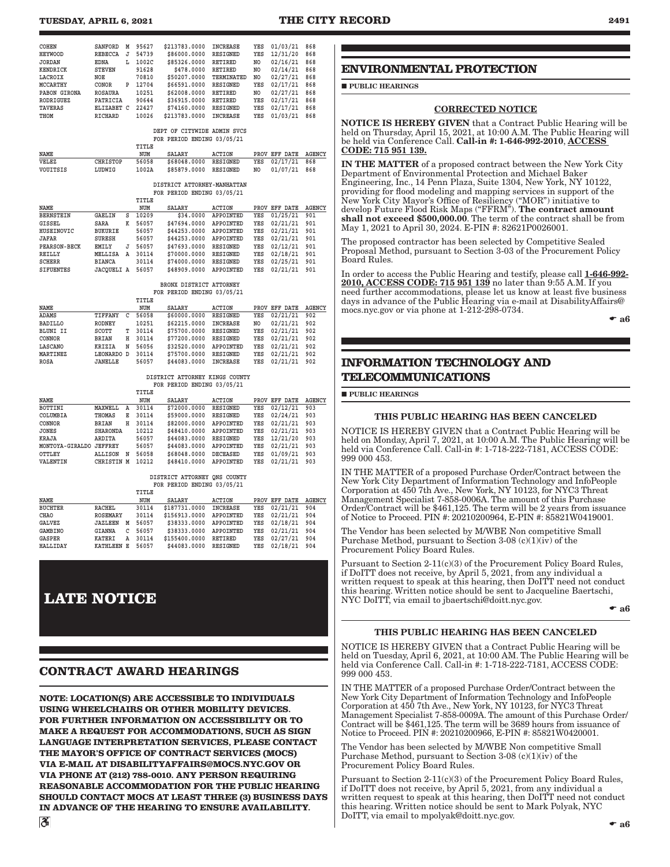<span id="page-10-0"></span>

| TUESDAY, APRIL 6, 2021 | <b>THE CITY RECORD</b> | 2491 |
|------------------------|------------------------|------|
|------------------------|------------------------|------|

| <b>COHEN</b>     | <b>SANFORD</b> | M | 95627 | \$213783.0000          | <b>INCREASE</b>      | YES | 01/03/21 | 868 |
|------------------|----------------|---|-------|------------------------|----------------------|-----|----------|-----|
| <b>HEYWOOD</b>   | <b>REBECCA</b> | J | 54739 | \$86000.0000           | <b>RESIGNED</b>      | YES | 12/31/20 | 868 |
| JORDAN           | <b>EDNA</b>    | L | 1002C | \$85326,0000           | RETIRED              | NO  | 02/16/21 | 868 |
| <b>KENDRICK</b>  | <b>STEVEN</b>  |   | 91628 | \$478,0000             | <b>RETIRED</b>       | NO  | 02/14/21 | 868 |
| LACROIX          | NOE            |   | 70810 | \$50207.0000           | TERMINATED           | NO  | 02/27/21 | 868 |
| MCCARTHY         | CONOR          | P | 12704 | \$66591.0000           | <b>RESIGNED</b>      | YES | 02/17/21 | 868 |
| PABON GIRONA     | <b>ROSAURA</b> |   | 10251 | \$62008.0000           | <b>RETIRED</b>       | NO  | 02/27/21 | 868 |
| <b>RODRIGUEZ</b> | PATRICIA       |   | 90644 | \$36915.0000           | <b>RETIRED</b>       | YES | 02/17/21 | 868 |
| <b>TAVERAS</b>   | ELIZABET C     |   | 22427 | \$74160.0000           | <b>RESIGNED</b>      | YES | 02/17/21 | 868 |
| THOM             | <b>RICHARD</b> |   | 10026 | \$213783.0000          | <b>INCREASE</b>      | YES | 01/03/21 | 868 |
|                  |                |   |       |                        |                      |     |          |     |
|                  |                |   |       | CITYWIDE<br>OF<br>DEPT | ADMIN<br><b>SVCS</b> |     |          |     |

|  | DEPT OF CITYWIDE ADMIN SVCS |  |
|--|-----------------------------|--|
|  | FOR PERIOD ENDING 03/05/21  |  |

|          |          | TITLE |                       |        |                      |  |
|----------|----------|-------|-----------------------|--------|----------------------|--|
| NAME     |          | NUM   | <b>SALARY</b>         | ACTION | PROV EFF DATE AGENCY |  |
| VELEZ    | CHRISTOP | 56058 | \$68048.0000 RESIGNED |        | YES 02/17/21 868     |  |
| VOUITSIS | LUDWIG   | 1002A | \$85879.0000 RESIGNED |        | NO 01/07/21 868      |  |

#### **DISTRICT ATTORNEY-MANHATTAN FOR PERIOD ENDING 03/05/21**

|                     |                   |   | TITLE |               |                  |     |               |               |
|---------------------|-------------------|---|-------|---------------|------------------|-----|---------------|---------------|
| NAME                |                   |   | NUM   | <b>SALARY</b> | <b>ACTION</b>    |     | PROV EFF DATE | <b>AGENCY</b> |
| <b>BERNSTEIN</b>    | <b>GAELIN</b>     | s | 10209 | \$34,0000     | APPOINTED        | YES | 01/25/21      | 901           |
| GISSEL              | <b>SARA</b>       | K | 56057 | \$47694.0000  | APPOINTED        | YES | 02/21/21      | 901           |
| HUSEINOVIC          | <b>BUKURIE</b>    |   | 56057 | \$44253.0000  | APPOINTED        | YES | 02/21/21      | 901           |
| <b>JAFAR</b>        | <b>SURESH</b>     |   | 56057 | \$44253.0000  | APPOINTED        | YES | 02/21/21      | 901           |
| <b>PEARSON-BECK</b> | <b>EMILY</b>      | J | 56057 | \$47693.0000  | <b>RESIGNED</b>  | YES | 02/12/21      | 901           |
| REILLY              | MELLISA           | A | 30114 | \$70000.0000  | <b>RESIGNED</b>  | YES | 02/18/21      | 901           |
| <b>SCHERR</b>       | <b>BIANCA</b>     |   | 30114 | \$74000.0000  | RESIGNED         | YES | 02/25/21      | 901           |
| <b>SIFUENTES</b>    | <b>JACOUELI A</b> |   | 56057 | \$48909.0000  | <b>APPOINTED</b> | YES | 02/21/21      | 901           |

 **BRONX DISTRICT ATTORNEY FOR PERIOD ENDING 03/05/21**

|                 |                |    | TITLE |               |                 |                |               |               |
|-----------------|----------------|----|-------|---------------|-----------------|----------------|---------------|---------------|
| NAME            |                |    | NUM   | <b>SALARY</b> | <b>ACTION</b>   |                | PROV EFF DATE | <b>AGENCY</b> |
| <b>ADAMS</b>    | TIFFANY        | C  | 56058 | \$60000.0000  | <b>RESIGNED</b> | YES            | 02/21/21      | 902           |
| <b>BADILLO</b>  | <b>RODNEY</b>  |    | 10251 | \$62215.0000  | <b>INCREASE</b> | N <sub>O</sub> | 02/21/21      | 902           |
| BLUNI II        | SCOTT          | T. | 30114 | \$75700.0000  | RESIGNED        | YES            | 02/21/21      | 902           |
| CONNOR          | <b>BRIAN</b>   | н  | 30114 | \$77200.0000  | RESIGNED        | YES            | 02/21/21      | 902           |
| LASCANO         | <b>KRIZIA</b>  | N  | 56056 | \$32520.0000  | APPOINTED       | YES            | 02/21/21      | 902           |
| <b>MARTINEZ</b> | LEONARDO D     |    | 30114 | \$75700.0000  | RESIGNED        | YES            | 02/21/21      | 902           |
| <b>ROSA</b>     | <b>JANELLE</b> |    | 56057 | \$44083.0000  | <b>INCREASE</b> | YES            | 02/21/21      | 902           |

 **DISTRICT ATTORNEY KINGS COUNTY FOR PERIOD ENDING 03/05/21**

|                 |                 |   | TITLE |               |                  |      |                 |               |
|-----------------|-----------------|---|-------|---------------|------------------|------|-----------------|---------------|
| <b>NAME</b>     |                 |   | NUM   | <b>SALARY</b> | ACTION           | PROV | <b>EFF DATE</b> | <b>AGENCY</b> |
| <b>BOTTINI</b>  | MAXWELL         | А | 30114 | \$72000.0000  | <b>RESIGNED</b>  | YES  | 02/12/21        | 903           |
| COLUMBIA        | THOMAS          | Е | 30114 | \$59000.0000  | <b>RESIGNED</b>  | YES  | 02/24/21        | 903           |
| CONNOR          | <b>BRIAN</b>    | н | 30114 | \$82000.0000  | APPOINTED        | YES  | 02/21/21        | 903           |
| <b>JONES</b>    | <b>SHARONDA</b> |   | 10212 | \$48410.0000  | APPOINTED        | YES  | 02/21/21        | 903           |
| <b>KRAJA</b>    | ARDITA          |   | 56057 | \$44083.0000  | RESIGNED         | YES  | 12/21/20        | 903           |
| MONTOYA-GIRALDO | <b>JEFFREY</b>  |   | 56057 | \$44083.0000  | <b>APPOINTED</b> | YES  | 02/21/21        | 903           |
| OTTLEY          | <b>ALLISON</b>  | N | 56058 | \$68048.0000  | <b>DECEASED</b>  | YES  | 01/09/21        | 903           |
| VALENTIN        | CHRISTIN M      |   | 10212 | \$48410.0000  | APPOINTED        | YES  | 02/21/21        | 903           |

 **DISTRICT ATTORNEY QNS COUNTY FOR PERIOD ENDING 03/05/21**

|                 |                   |   | TITLE |                        |                 |     |                  |        |
|-----------------|-------------------|---|-------|------------------------|-----------------|-----|------------------|--------|
| NAME            |                   |   | NUM   | <b>SALARY</b>          | <b>ACTION</b>   |     | PROV EFF DATE    | AGENCY |
| <b>BUCHTER</b>  | RACHEL            |   | 30114 | \$187731.0000          | <b>INCREASE</b> |     | YES 02/21/21 904 |        |
| CHAO            | <b>ROSEMARY</b>   |   | 30114 | \$156913.0000          | APPOINTED       | YES | 02/21/21 904     |        |
| <b>GALVEZ</b>   | <b>JAZLEEN</b>    | М | 56057 | \$38333.0000           | APPOINTED       |     | YES 02/18/21 904 |        |
| <b>GAMBINO</b>  | GIANNA            | C | 56057 | \$38333.0000 APPOINTED |                 | YES | 02/21/21 904     |        |
| GASPER          | <b>KATERI</b>     | A | 30114 | \$155400.0000 RETIRED  |                 | YES | 02/27/21 904     |        |
| <b>HALLIDAY</b> | <b>KATHLEEN E</b> |   | 56057 | \$44083,0000           | RESIGNED        | YES | 02/18/21 904     |        |
|                 |                   |   |       |                        |                 |     |                  |        |

# **LATE NOTICE**

# **CONTRACT AWARD HEARINGS**

**NOTE: LOCATION(S) ARE ACCESSIBLE TO INDIVIDUALS USING WHEELCHAIRS OR OTHER MOBILITY DEVICES. FOR FURTHER INFORMATION ON ACCESSIBILITY OR TO MAKE A REQUEST FOR ACCOMMODATIONS, SUCH AS SIGN LANGUAGE INTERPRETATION SERVICES, PLEASE CONTACT THE MAYOR'S OFFICE OF CONTRACT SERVICES (MOCS) VIA E-MAIL AT DISABILITYAFFAIRS@MOCS.NYC.GOV OR VIA PHONE AT (212) 788-0010. ANY PERSON REQUIRING REASONABLE ACCOMMODATION FOR THE PUBLIC HEARING SHOULD CONTACT MOCS AT LEAST THREE (3) BUSINESS DAYS IN ADVANCE OF THE HEARING TO ENSURE AVAILABILITY.**

# **ENVIRONMENTAL PROTECTION**

**PUBLIC HEARINGS** 

## CORRECTED NOTICE

NOTICE IS HEREBY GIVEN that a Contract Public Hearing will be held on Thursday, April 15, 2021, at 10:00 A.M. The Public Hearing will be held via Conference Call. Call-in #: 1-646-992-2010, ACCESS CODE: 715 951 139.

IN THE MATTER of a proposed contract between the New York City Department of Environmental Protection and Michael Baker Engineering, Inc., 14 Penn Plaza, Suite 1304, New York, NY 10122, providing for flood modeling and mapping services in support of the New York City Mayor's Office of Resiliency ("MOR") initiative to develop Future Flood Risk Maps ("FFRM"). **The contract amount** shall not exceed \$500,000.00. The term of the contract shall be from May 1, 2021 to April 30, 2024. E-PIN #: 82621P0026001.

The proposed contractor has been selected by Competitive Sealed Proposal Method, pursuant to Section 3-03 of the Procurement Policy Board Rules.

In order to access the Public Hearing and testify, please call 1-646-992-2010, ACCESS CODE: 715 951 139 no later than 9:55 A.M. If you need further accommodations, please let us know at least five business days in advance of the Public Hearing via e-mail at DisabilityAffairs@ mocs.nyc.gov or via phone at 1-212-298-0734.

 $\bullet$  a<sub>6</sub>

# **INFORMATION TECHNOLOGY AND TELECOMMUNICATIONS**

**PUBLIC HEARINGS** 

## THIS PUBLIC HEARING HAS BEEN CANCELED

NOTICE IS HEREBY GIVEN that a Contract Public Hearing will be held on Monday, April 7, 2021, at 10:00 A.M. The Public Hearing will be held via Conference Call. Call-in #: 1-718-222-7181, ACCESS CODE: 999 000 453.

IN THE MATTER of a proposed Purchase Order/Contract between the New York City Department of Information Technology and InfoPeople Corporation at 450 7th Ave., New York, NY 10123, for NYC3 Threat Management Specialist 7-858-0006A. The amount of this Purchase Order/Contract will be \$461,125. The term will be 2 years from issuance of Notice to Proceed. PIN #: 20210200964, E-PIN #: 85821W0419001.

The Vendor has been selected by M/WBE Non competitive Small Purchase Method, pursuant to Section 3-08 (c)(1)(iv) of the Procurement Policy Board Rules.

Pursuant to Section 2-11(c)(3) of the Procurement Policy Board Rules, if DoITT does not receive, by April 5, 2021, from any individual a written request to speak at this hearing, then DoITT need not conduct this hearing. Written notice should be sent to Jacqueline Baertschi, NYC DoITT, via email to jbaertschi@doitt.nyc.gov.

 $\bullet$  a<sub>6</sub>

## THIS PUBLIC HEARING HAS BEEN CANCELED

NOTICE IS HEREBY GIVEN that a Contract Public Hearing will be held on Tuesday, April 6, 2021, at 10:00 AM. The Public Hearing will be held via Conference Call. Call-in #: 1-718-222-7181, ACCESS CODE: 999 000 453.

IN THE MATTER of a proposed Purchase Order/Contract between the New York City Department of Information Technology and InfoPeople Corporation at 450 7th Ave., New York, NY 10123, for NYC3 Threat Management Specialist 7-858-0009A. The amount of this Purchase Order/ Contract will be \$461,125. The term will be 3689 hours from issuance of Notice to Proceed. PIN #: 20210200966, E-PIN #: 85821W0420001.

The Vendor has been selected by M/WBE Non competitive Small Purchase Method, pursuant to Section 3-08  $(c)(1)(iv)$  of the Procurement Policy Board Rules.

Pursuant to Section 2-11(c)(3) of the Procurement Policy Board Rules, if DoITT does not receive, by April 5, 2021, from any individual a written request to speak at this hearing, then DoITT need not conduct this hearing. Written notice should be sent to Mark Polyak, NYC DoITT, via email to mpolyak@doitt.nyc.gov.